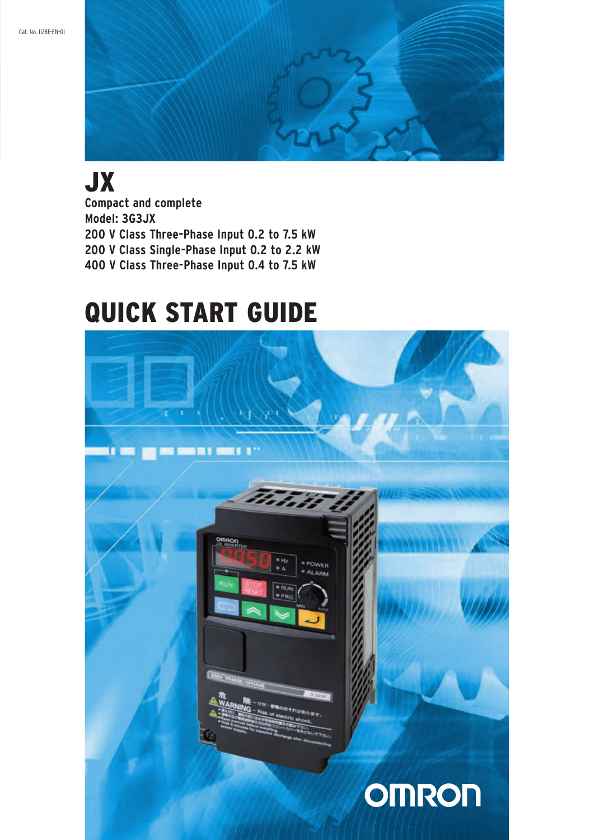

# JX

**Compact and complete Model: 3G3JX 200 V Class Three-Phase Input 0.2 to 7.5 kW 200 V Class Single-Phase Input 0.2 to 2.2 kW 400 V Class Three-Phase Input 0.4 to 7.5 kW**

# QUICK START GUIDE

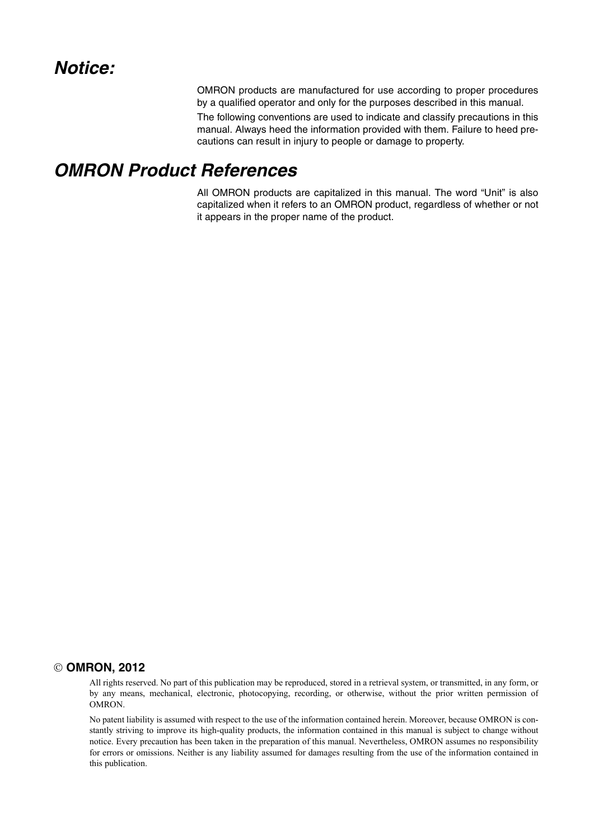OMRON products are manufactured for use according to proper procedures by a qualified operator and only for the purposes described in this manual.

The following conventions are used to indicate and classify precautions in this manual. Always heed the information provided with them. Failure to heed precautions can result in injury to people or damage to property.

# *OMRON Product References*

All OMRON products are capitalized in this manual. The word "Unit" is also capitalized when it refers to an OMRON product, regardless of whether or not it appears in the proper name of the product.

#### **OMRON, 2012**

All rights reserved. No part of this publication may be reproduced, stored in a retrieval system, or transmitted, in any form, or by any means, mechanical, electronic, photocopying, recording, or otherwise, without the prior written permission of OMRON.

No patent liability is assumed with respect to the use of the information contained herein. Moreover, because OMRON is constantly striving to improve its high-quality products, the information contained in this manual is subject to change without notice. Every precaution has been taken in the preparation of this manual. Nevertheless, OMRON assumes no responsibility for errors or omissions. Neither is any liability assumed for damages resulting from the use of the information contained in this publication.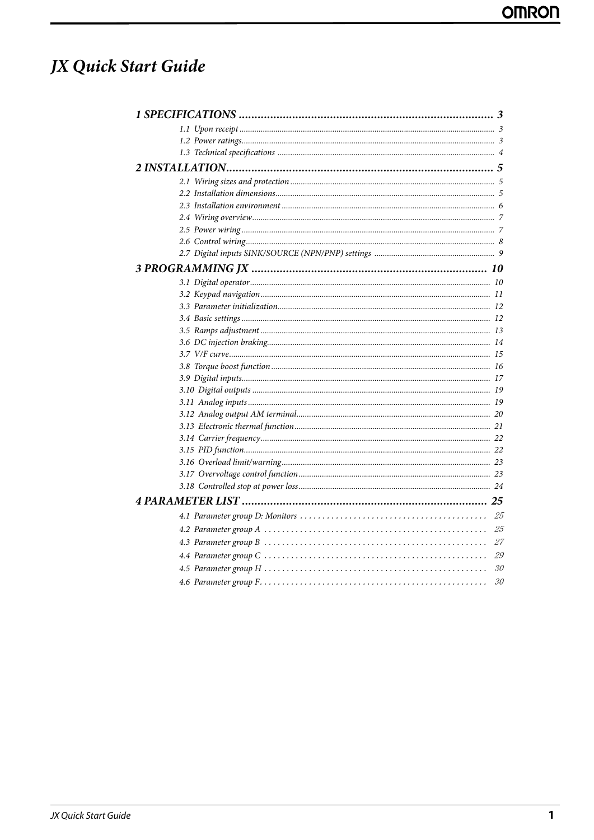# JX Quick Start Guide

| 25<br>25 |  |
|----------|--|
|          |  |
|          |  |
|          |  |
|          |  |
|          |  |
|          |  |
|          |  |
|          |  |
|          |  |
|          |  |
|          |  |
|          |  |
|          |  |
|          |  |
|          |  |
|          |  |
|          |  |
|          |  |
|          |  |
|          |  |
|          |  |
|          |  |
|          |  |
|          |  |
|          |  |
|          |  |
|          |  |
|          |  |
|          |  |
|          |  |
|          |  |
|          |  |
|          |  |
|          |  |
| 27       |  |
| 29       |  |
| 30       |  |
|          |  |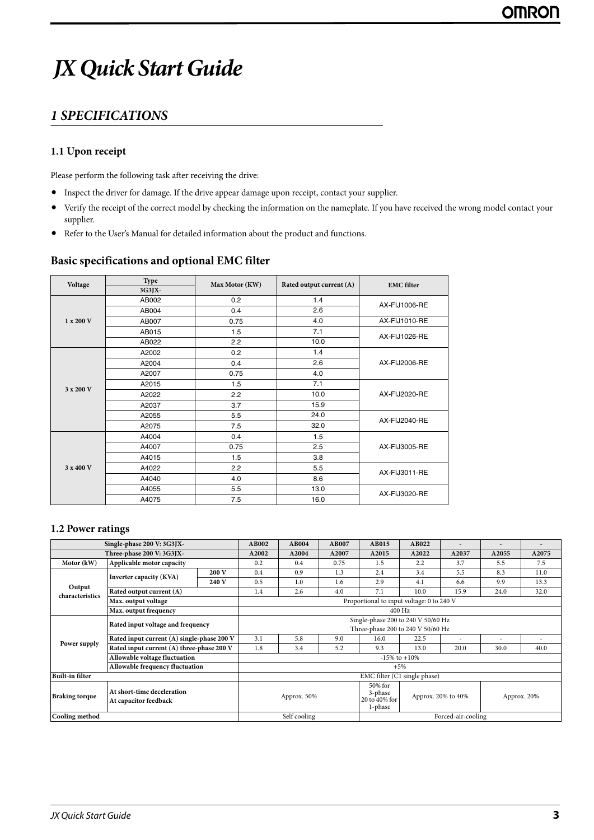# <span id="page-4-0"></span>*JX Quick Start Guide*

# <span id="page-4-1"></span>*1 SPECIFICATIONS*

## **1.1 Upon receipt**

Please perform the following task after receiving the drive:

- **•** Inspect the driver for damage. If the drive appear damage upon receipt, contact your supplier.
- **•** Verify the receipt of the correct model by checking the information on the nameplate. If you have received the wrong model contact your supplier.
- **•** Refer to the User's Manual for detailed information about the product and functions.

### **Basic specifications and optional EMC filter**

| Voltage   | Type   | Max Motor (KW) | Rated output current (A) | <b>EMC</b> filter    |  |
|-----------|--------|----------------|--------------------------|----------------------|--|
|           | 3G3JX- |                |                          |                      |  |
|           | AB002  | 0.2            | 1.4                      | <b>AX-FIJ1006-RE</b> |  |
|           | AB004  | 0.4            | 2.6                      |                      |  |
| 1 x 200 V | AB007  | 0.75           | 4.0                      | AX-FIJ1010-RE        |  |
|           | AB015  | 1.5            | 7.1                      | AX-FIJ1026-RE        |  |
|           | AB022  | 2.2            | 10.0                     |                      |  |
|           | A2002  | 0.2            | 1.4                      |                      |  |
|           | A2004  | 0.4            | 2.6                      | AX-FIJ2006-RE        |  |
|           | A2007  | 0.75           | 4.0                      |                      |  |
| 3 x 200 V | A2015  | 1.5            | 7.1                      |                      |  |
|           | A2022  | 2.2            | 10.0                     | AX-FIJ2020-RE        |  |
|           | A2037  | 3.7            | 15.9                     |                      |  |
|           | A2055  | 5.5            | 24.0                     | AX-FIJ2040-RE        |  |
|           | A2075  | 7.5            | 32.0                     |                      |  |
|           | A4004  | 0.4            | 1.5                      |                      |  |
|           | A4007  | 0.75           | 2.5                      | AX-FIJ3005-RE        |  |
|           | A4015  | 1.5            | 3.8                      |                      |  |
| 3 x 400 V | A4022  | 2.2            | 5.5                      | AX-FIJ3011-RE        |  |
|           | A4040  | 4.0            | 8.6                      |                      |  |
|           | A4055  | 5.5            | 13.0                     | <b>AX-FIJ3020-RE</b> |  |
|           | A4075  | 7.5            | 16.0                     |                      |  |

#### <span id="page-4-2"></span>**1.2 Power ratings**

|                                                                              | Single-phase 200 V: 3G3JX-                 |                                                                         | AB002                              | AB004                                          | <b>AB007</b>                      | <b>AB015</b> | AB022 |       |       |       |  |
|------------------------------------------------------------------------------|--------------------------------------------|-------------------------------------------------------------------------|------------------------------------|------------------------------------------------|-----------------------------------|--------------|-------|-------|-------|-------|--|
|                                                                              | Three-phase 200 V: 3G3JX-                  |                                                                         | A2002                              | A2004                                          | A2007                             | A2015        | A2022 | A2037 | A2055 | A2075 |  |
| Motor (kW)                                                                   | Applicable motor capacity                  |                                                                         | 0.2                                | 0.4                                            | 0.75                              | 1.5          | 2.2   | 3.7   | 5.5   | 7.5   |  |
|                                                                              | Inverter capacity (KVA)                    | 200 V                                                                   | 0.4                                | 0.9                                            | 1.3                               | 2.4          | 3.4   | 5.5   | 8.3   | 11.0  |  |
|                                                                              |                                            | 240 V                                                                   | 0.5                                | 1.0                                            | 1.6                               | 2.9          | 4.1   | 6.6   | 9.9   | 13.3  |  |
| Output<br>characteristics                                                    | Rated output current (A)                   |                                                                         | 1.4                                | 2.6                                            | 4.0                               | 7.1          | 10.0  | 15.9  | 24.0  | 32.0  |  |
|                                                                              | Max. output voltage                        | Proportional to input voltage: 0 to 240 V                               |                                    |                                                |                                   |              |       |       |       |       |  |
|                                                                              | Max. output frequency                      |                                                                         |                                    | $400$ Hz                                       |                                   |              |       |       |       |       |  |
|                                                                              | Rated input voltage and frequency          | Single-phase 200 to 240 V 50/60 Hz<br>Three-phase 200 to 240 V 50/60 Hz |                                    |                                                |                                   |              |       |       |       |       |  |
|                                                                              | Rated input current (A) single-phase 200 V |                                                                         | 3.1                                | 5.8                                            | 9.0                               | 16.0         | 22.5  | ۰     |       |       |  |
| Power supply                                                                 | Rated input current (A) three-phase 200 V  |                                                                         | 1.8                                | 3.4                                            | 5.2                               | 9.3          | 13.0  | 20.0  | 30.0  | 40.0  |  |
|                                                                              | Allowable voltage fluctuation              |                                                                         | $-15\%$ to $+10\%$                 |                                                |                                   |              |       |       |       |       |  |
|                                                                              | Allowable frequency fluctuation            |                                                                         | $+5%$                              |                                                |                                   |              |       |       |       |       |  |
| <b>Built-in filter</b>                                                       |                                            |                                                                         | EMC filter (C1 single phase)       |                                                |                                   |              |       |       |       |       |  |
| At short-time deceleration<br><b>Braking torque</b><br>At capacitor feedback |                                            | Approx. 50%                                                             |                                    | 50% for<br>3-phase<br>20 to 40% for<br>1-phase | Approx. 20% to 40%<br>Approx. 20% |              |       |       |       |       |  |
| Cooling method                                                               |                                            |                                                                         | Self cooling<br>Forced-air-cooling |                                                |                                   |              |       |       |       |       |  |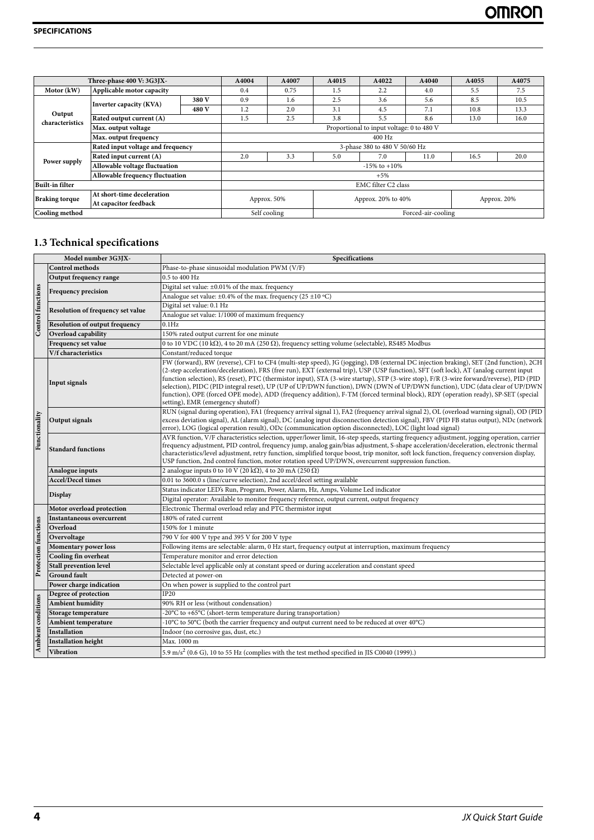| Three-phase 400 V: 3G3JX- |                                   |                               | A4004                                     | A4007              | A4015              | A4022 | A4040 | A4055       | A4075 |  |
|---------------------------|-----------------------------------|-------------------------------|-------------------------------------------|--------------------|--------------------|-------|-------|-------------|-------|--|
| Motor (kW)                | Applicable motor capacity         |                               | 0.4                                       | 0.75               | 1.5                | 2.2   | 4.0   | 5.5         | 7.5   |  |
|                           | Inverter capacity (KVA)           | 380 V                         | 0.9                                       | 1.6                | 2.5                | 3.6   | 5.6   | 8.5         | 10.5  |  |
| Output                    |                                   | 480 V                         | 1.2                                       | 2.0                | 3.1                | 4.5   | 7.1   | 10.8        | 13.3  |  |
| characteristics           | Rated output current (A)          |                               | 1.5                                       | 2.5                | 3.8                | 5.5   | 8.6   | 13.0        | 16.0  |  |
|                           | Max. output voltage               |                               | Proportional to input voltage: 0 to 480 V |                    |                    |       |       |             |       |  |
|                           | Max. output frequency             |                               | 400 Hz                                    |                    |                    |       |       |             |       |  |
|                           | Rated input voltage and frequency | 3-phase 380 to 480 V 50/60 Hz |                                           |                    |                    |       |       |             |       |  |
| Power supply              | Rated input current (A)           | 2.0                           | 3.3                                       | 5.0                | 7.0                | 11.0  | 16.5  | 20.0        |       |  |
|                           | Allowable voltage fluctuation     |                               |                                           | $-15\%$ to $+10\%$ |                    |       |       |             |       |  |
|                           | Allowable frequency fluctuation   |                               | $+5%$                                     |                    |                    |       |       |             |       |  |
| <b>Built-in filter</b>    |                                   |                               | EMC filter C2 class                       |                    |                    |       |       |             |       |  |
| <b>Braking torque</b>     | At short-time deceleration        |                               |                                           |                    |                    |       |       |             |       |  |
|                           | At capacitor feedback             |                               | Approx. 50%                               |                    | Approx. 20% to 40% |       |       | Approx. 20% |       |  |
| Cooling method            |                                   |                               | Self cooling<br>Forced-air-cooling        |                    |                    |       |       |             |       |  |

# <span id="page-5-0"></span>**1.3 Technical specifications**

|                          | Model number 3G3JX-                   | Specifications                                                                                                                                                                                                                                                                                                                                                                                                                                                                                                                                                                                                                                                                                                                    |  |  |  |  |
|--------------------------|---------------------------------------|-----------------------------------------------------------------------------------------------------------------------------------------------------------------------------------------------------------------------------------------------------------------------------------------------------------------------------------------------------------------------------------------------------------------------------------------------------------------------------------------------------------------------------------------------------------------------------------------------------------------------------------------------------------------------------------------------------------------------------------|--|--|--|--|
|                          | <b>Control methods</b>                | Phase-to-phase sinusoidal modulation PWM (V/F)                                                                                                                                                                                                                                                                                                                                                                                                                                                                                                                                                                                                                                                                                    |  |  |  |  |
|                          | Output frequency range                | 0.5 to 400 Hz                                                                                                                                                                                                                                                                                                                                                                                                                                                                                                                                                                                                                                                                                                                     |  |  |  |  |
|                          | <b>Frequency precision</b>            | Digital set value: ±0.01% of the max. frequency                                                                                                                                                                                                                                                                                                                                                                                                                                                                                                                                                                                                                                                                                   |  |  |  |  |
|                          |                                       | Analogue set value: $\pm 0.4\%$ of the max. frequency (25 $\pm 10$ °C)                                                                                                                                                                                                                                                                                                                                                                                                                                                                                                                                                                                                                                                            |  |  |  |  |
|                          | Resolution of frequency set value     | Digital set value: 0.1 Hz                                                                                                                                                                                                                                                                                                                                                                                                                                                                                                                                                                                                                                                                                                         |  |  |  |  |
|                          |                                       | Analogue set value: 1/1000 of maximum frequency                                                                                                                                                                                                                                                                                                                                                                                                                                                                                                                                                                                                                                                                                   |  |  |  |  |
| <b>Control</b> functions | <b>Resolution of output frequency</b> | $0.1$ Hz                                                                                                                                                                                                                                                                                                                                                                                                                                                                                                                                                                                                                                                                                                                          |  |  |  |  |
|                          | Overload capability                   | 150% rated output current for one minute                                                                                                                                                                                                                                                                                                                                                                                                                                                                                                                                                                                                                                                                                          |  |  |  |  |
|                          | Frequency set value                   | 0 to 10 VDC (10 k $\Omega$ ), 4 to 20 mA (250 $\Omega$ ), frequency setting volume (selectable), RS485 Modbus                                                                                                                                                                                                                                                                                                                                                                                                                                                                                                                                                                                                                     |  |  |  |  |
|                          | V/f characteristics                   | Constant/reduced torque                                                                                                                                                                                                                                                                                                                                                                                                                                                                                                                                                                                                                                                                                                           |  |  |  |  |
|                          | <b>Input signals</b>                  | FW (forward), RW (reverse), CF1 to CF4 (multi-step speed), JG (jogging), DB (external DC injection braking), SET (2nd function), 2CH<br>(2-step acceleration/deceleration), FRS (free run), EXT (external trip), USP (USP function), SFT (soft lock), AT (analog current input<br>function selection), RS (reset), PTC (thermistor input), STA (3-wire startup), STP (3-wire stop), F/R (3-wire forward/reverse), PID (PID<br>selection), PIDC (PID integral reset), UP (UP of UP/DWN function), DWN (DWN of UP/DWN function), UDC (data clear of UP/DWN<br>function), OPE (forced OPE mode), ADD (frequency addition), F-TM (forced terminal block), RDY (operation ready), SP-SET (special<br>setting), EMR (emergency shutoff) |  |  |  |  |
| Functionality            | <b>Output signals</b>                 | RUN (signal during operation), FA1 (frequency arrival signal 1), FA2 (frequency arrival signal 2), OL (overload warning signal), OD (PID<br>excess deviation signal), AL (alarm signal), DC (analog input disconnection detection signal), FBV (PID FB status output), NDc (network<br>error), LOG (logical operation result), ODc (communication option disconnected), LOC (light load signal)                                                                                                                                                                                                                                                                                                                                   |  |  |  |  |
|                          | <b>Standard functions</b>             | AVR function, V/F characteristics selection, upper/lower limit, 16-step speeds, starting frequency adjustment, jogging operation, carrier<br>frequency adjustment, PID control, frequency jump, analog gain/bias adjustment, S-shape acceleration/deceleration, electronic thermal<br>characteristics/level adjustment, retry function, simplified torque boost, trip monitor, soft lock function, frequency conversion display,<br>USP function, 2nd control function, motor rotation speed UP/DWN, overcurrent suppression function.                                                                                                                                                                                            |  |  |  |  |
|                          | Analogue inputs                       | 2 analogue inputs 0 to 10 V (20 k $\Omega$ ), 4 to 20 mA (250 $\Omega$ )                                                                                                                                                                                                                                                                                                                                                                                                                                                                                                                                                                                                                                                          |  |  |  |  |
|                          | <b>Accel/Decel times</b>              | 0.01 to 3600.0 s (line/curve selection), 2nd accel/decel setting available                                                                                                                                                                                                                                                                                                                                                                                                                                                                                                                                                                                                                                                        |  |  |  |  |
|                          | <b>Display</b>                        | Status indicator LED's Run, Program, Power, Alarm, Hz, Amps, Volume Led indicator                                                                                                                                                                                                                                                                                                                                                                                                                                                                                                                                                                                                                                                 |  |  |  |  |
|                          |                                       | Digital operator: Available to monitor frequency reference, output current, output frequency                                                                                                                                                                                                                                                                                                                                                                                                                                                                                                                                                                                                                                      |  |  |  |  |
|                          | Motor overload protection             | Electronic Thermal overload relay and PTC thermistor input                                                                                                                                                                                                                                                                                                                                                                                                                                                                                                                                                                                                                                                                        |  |  |  |  |
|                          | <b>Instantaneous overcurrent</b>      | 180% of rated current                                                                                                                                                                                                                                                                                                                                                                                                                                                                                                                                                                                                                                                                                                             |  |  |  |  |
|                          | Overload                              | 150% for 1 minute                                                                                                                                                                                                                                                                                                                                                                                                                                                                                                                                                                                                                                                                                                                 |  |  |  |  |
|                          | Overvoltage                           | 790 V for 400 V type and 395 V for 200 V type                                                                                                                                                                                                                                                                                                                                                                                                                                                                                                                                                                                                                                                                                     |  |  |  |  |
| Protection functions     | <b>Momentary power loss</b>           | Following items are selectable: alarm, 0 Hz start, frequency output at interruption, maximum frequency                                                                                                                                                                                                                                                                                                                                                                                                                                                                                                                                                                                                                            |  |  |  |  |
|                          | Cooling fin overheat                  | Temperature monitor and error detection                                                                                                                                                                                                                                                                                                                                                                                                                                                                                                                                                                                                                                                                                           |  |  |  |  |
|                          | <b>Stall prevention level</b>         | Selectable level applicable only at constant speed or during acceleration and constant speed                                                                                                                                                                                                                                                                                                                                                                                                                                                                                                                                                                                                                                      |  |  |  |  |
|                          | <b>Ground fault</b>                   | Detected at power-on                                                                                                                                                                                                                                                                                                                                                                                                                                                                                                                                                                                                                                                                                                              |  |  |  |  |
|                          | Power charge indication               | On when power is supplied to the control part                                                                                                                                                                                                                                                                                                                                                                                                                                                                                                                                                                                                                                                                                     |  |  |  |  |
|                          | Degree of protection                  | <b>IP20</b>                                                                                                                                                                                                                                                                                                                                                                                                                                                                                                                                                                                                                                                                                                                       |  |  |  |  |
|                          | <b>Ambient humidity</b>               | 90% RH or less (without condensation)                                                                                                                                                                                                                                                                                                                                                                                                                                                                                                                                                                                                                                                                                             |  |  |  |  |
|                          | Storage temperature                   | -20°C to +65°C (short-term temperature during transportation)                                                                                                                                                                                                                                                                                                                                                                                                                                                                                                                                                                                                                                                                     |  |  |  |  |
|                          | Ambient temperature                   | -10°C to 50°C (both the carrier frequency and output current need to be reduced at over 40°C)                                                                                                                                                                                                                                                                                                                                                                                                                                                                                                                                                                                                                                     |  |  |  |  |
|                          | Installation                          | Indoor (no corrosive gas, dust, etc.)                                                                                                                                                                                                                                                                                                                                                                                                                                                                                                                                                                                                                                                                                             |  |  |  |  |
| Ambient conditions       | <b>Installation height</b>            | Max. 1000 m                                                                                                                                                                                                                                                                                                                                                                                                                                                                                                                                                                                                                                                                                                                       |  |  |  |  |
|                          | <b>Vibration</b>                      | 5.9 m/s <sup>2</sup> (0.6 G), 10 to 55 Hz (complies with the test method specified in JIS C0040 (1999).)                                                                                                                                                                                                                                                                                                                                                                                                                                                                                                                                                                                                                          |  |  |  |  |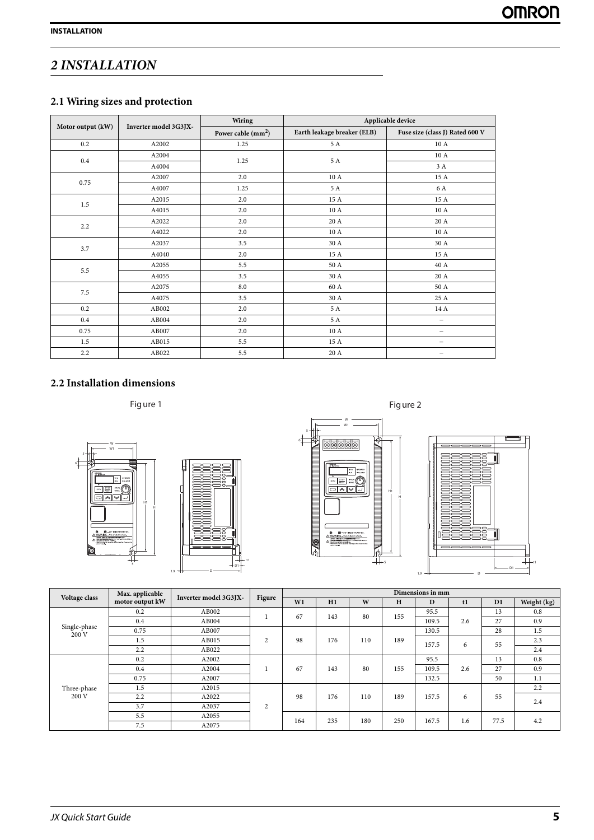# <span id="page-6-1"></span><span id="page-6-0"></span>*2 INSTALLATION*

# **2.1 Wiring sizes and protection**

|                   |                       | <b>Wiring</b>       | Applicable device           |                                 |  |  |
|-------------------|-----------------------|---------------------|-----------------------------|---------------------------------|--|--|
| Motor output (kW) | Inverter model 3G3JX- | Power cable $(mm2)$ | Earth leakage breaker (ELB) | Fuse size (class J) Rated 600 V |  |  |
| 0.2               | A2002                 | 1.25                | 5 A                         | 10A                             |  |  |
| 0.4               | A2004                 | 1.25                | 5 A                         | 10 A                            |  |  |
|                   | A4004                 |                     |                             | 3 A                             |  |  |
| 0.75              | A2007                 | 2.0                 | 10 A                        | 15 A                            |  |  |
|                   | A4007                 | 1.25                | 5 A                         | 6 A                             |  |  |
| 1.5               | A2015                 | 2.0                 | 15 A                        | 15A                             |  |  |
|                   | A4015                 | 2.0                 | 10 A                        | 10 A                            |  |  |
| 2.2               | A2022                 | 2.0                 | 20 A                        | 20 A                            |  |  |
|                   | A4022                 | 2.0                 | 10A                         | 10A                             |  |  |
| 3.7               | A2037                 | 3.5                 | 30 A                        | 30 A                            |  |  |
|                   | A4040                 | 2.0                 | 15 A                        | 15 A                            |  |  |
| 5.5               | A2055                 | 5.5                 | 50 A                        | 40 A                            |  |  |
|                   | A4055                 | 3.5                 | 30 A                        | 20 A                            |  |  |
| 7.5               | A2075                 | $\ \ 8.0$           | 60 A                        | 50 A                            |  |  |
|                   | A4075                 | 3.5                 | 30 A                        | 25 A                            |  |  |
| 0.2               | AB002                 | 2.0                 | 5 A                         | 14 A                            |  |  |
| 0.4               | AB004                 | 2.0                 | 5 A                         | $\overline{\phantom{0}}$        |  |  |
| 0.75              | AB007                 | 2.0                 | 10A                         | $\qquad \qquad -$               |  |  |
| $1.5\,$           | AB015                 | 5.5                 | 15 A                        | $\qquad \qquad -$               |  |  |
| 2.2               | AB022                 | 5.5                 | 20 A                        |                                 |  |  |

# <span id="page-6-2"></span>**2.2 Installation dimensions**







| Voltage class         | Max. applicable | Inverter model 3G3JX- | Figure         | Dimensions in mm |     |     |     |       |            |      |             |     |     |
|-----------------------|-----------------|-----------------------|----------------|------------------|-----|-----|-----|-------|------------|------|-------------|-----|-----|
|                       | motor output kW |                       |                | W1               | H1  | W   | H   | D     | t1         | D1   | Weight (kg) |     |     |
|                       | 0.2             | AB002                 |                | 67               | 143 | 80  | 155 | 95.5  |            | 13   | 0.8         |     |     |
|                       | $0.4\,$         | AB004                 |                |                  |     |     |     | 109.5 | 2.6        | 27   | 0.9         |     |     |
| Single-phase<br>200 V | 0.75            | AB007                 |                |                  |     |     |     | 130.5 |            | 28   | 1.5         |     |     |
|                       | 1.5             | AB015                 | $\overline{2}$ | 98               | 176 | 110 | 189 |       | 157.5<br>6 | 55   | 2.3         |     |     |
|                       | 2.2             | AB022                 |                |                  |     |     |     |       |            |      | 2.4         |     |     |
|                       | 0.2             | A2002                 |                |                  |     |     |     | 95.5  |            | 13   | 0.8         |     |     |
|                       | 0.4             | A2004                 |                |                  |     |     | 67  | 143   | 80         | 155  | 109.5       | 2.6 | 27  |
|                       | 0.75            | A2007                 |                |                  |     |     |     | 132.5 |            | 50   | 1.1         |     |     |
| Three-phase           | 1.5             | A2015                 |                |                  |     |     | 189 |       |            |      | 2.2         |     |     |
| 200 V                 | 2.2             | A2022                 |                | 98               | 176 | 110 |     | 157.5 | 6          | 55   | 2.4         |     |     |
|                       | 3.7             | A2037                 | 2              |                  |     |     |     |       |            |      |             |     |     |
|                       | 5.5             | A2055                 |                |                  |     | 164 | 235 | 180   | 250        |      |             |     | 4.2 |
|                       | 7.5             | A2075                 |                |                  |     |     |     | 167.5 | 1.6        | 77.5 |             |     |     |

t1 D1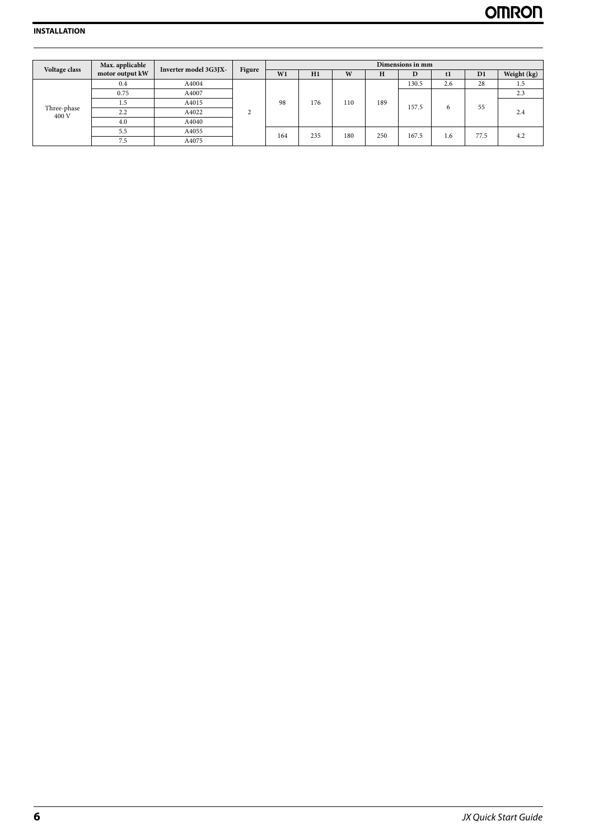| Voltage class        | Max. applicable | Inverter model 3G3JX-<br>Figure |   |     |     |     | Dimensions in mm |       |     |      |             |  |
|----------------------|-----------------|---------------------------------|---|-----|-----|-----|------------------|-------|-----|------|-------------|--|
|                      | motor output kW |                                 |   | W1  | H1  | W   | н                | D     | tl  | D1   | Weight (kg) |  |
|                      | 0.4             | A4004                           |   |     | 176 | 110 | 189              | 130.5 | 2.6 | 28   | 1.5         |  |
|                      | 0.75            | A4007                           | ◠ | 98  |     |     |                  | 157.5 | 6   | 55   | 2.3         |  |
|                      |                 | A4015                           |   |     |     |     |                  |       |     |      |             |  |
| Three-phase<br>400 V | 2.2             | A4022                           |   |     |     |     |                  |       |     |      |             |  |
|                      | 4.0             | A4040                           |   |     |     |     |                  |       |     |      |             |  |
|                      | 5.5             | A4055                           |   | 164 | 235 | 180 | 250              | 167.5 | 1.6 | 77.5 |             |  |
|                      | 7.5             | A4075                           |   |     |     |     |                  |       |     |      | 4.2         |  |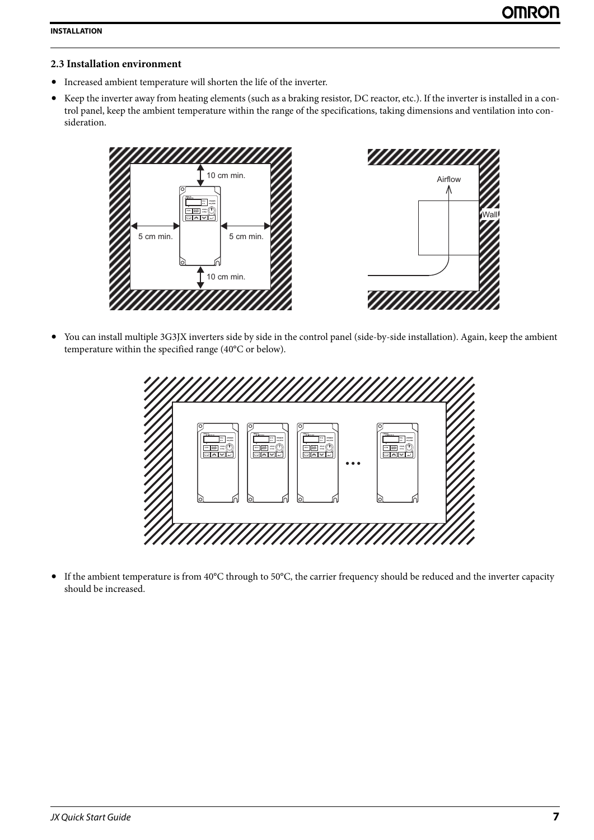## <span id="page-8-0"></span>**2.3 Installation environment**

- **•** Increased ambient temperature will shorten the life of the inverter.
- **•** Keep the inverter away from heating elements (such as a braking resistor, DC reactor, etc.). If the inverter is installed in a control panel, keep the ambient temperature within the range of the specifications, taking dimensions and ventilation into consideration.



**•** You can install multiple 3G3JX inverters side by side in the control panel (side-by-side installation). Again, keep the ambient temperature within the specified range (40°C or below).



**•** If the ambient temperature is from 40°C through to 50°C, the carrier frequency should be reduced and the inverter capacity should be increased.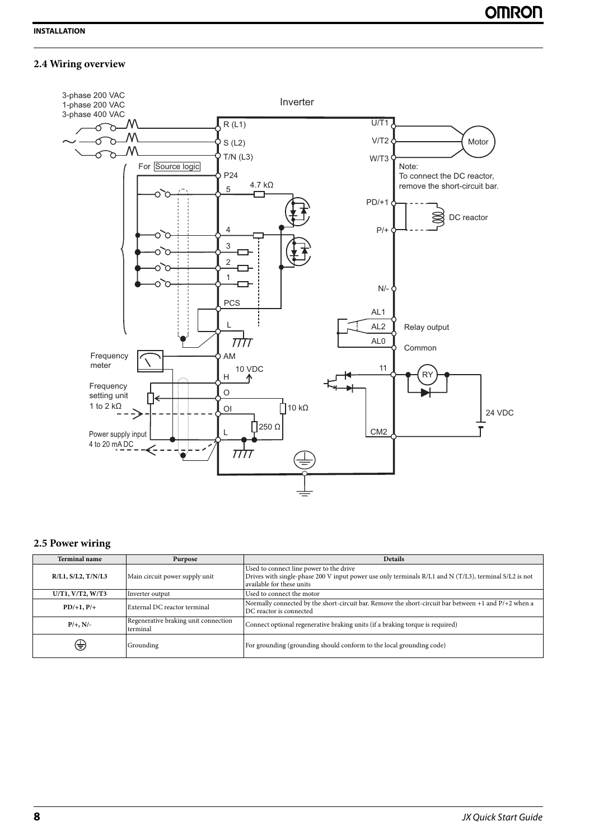# <span id="page-9-0"></span>**2.4 Wiring overview**



#### <span id="page-9-1"></span>**2.5 Power wiring**

| <b>Terminal name</b>       | Purpose                                          | <b>Details</b>                                                                                                                                                                |
|----------------------------|--------------------------------------------------|-------------------------------------------------------------------------------------------------------------------------------------------------------------------------------|
| $R/L1$ , $S/L2$ , $T/N/L3$ | Main circuit power supply unit                   | Used to connect line power to the drive<br>Drives with single-phase 200 V input power use only terminals R/L1 and N (T/L3), terminal S/L2 is not<br>available for these units |
| U/T1, V/T2, W/T3           | Inverter output                                  | Used to connect the motor                                                                                                                                                     |
| $PD/+1, P/+$               | External DC reactor terminal                     | Normally connected by the short-circuit bar. Remove the short-circuit bar between $+1$ and $P/+2$ when a<br>DC reactor is connected                                           |
| $P/+, N/-$                 | Regenerative braking unit connection<br>terminal | Connect optional regenerative braking units (if a braking torque is required)                                                                                                 |
| €                          | Grounding                                        | For grounding (grounding should conform to the local grounding code)                                                                                                          |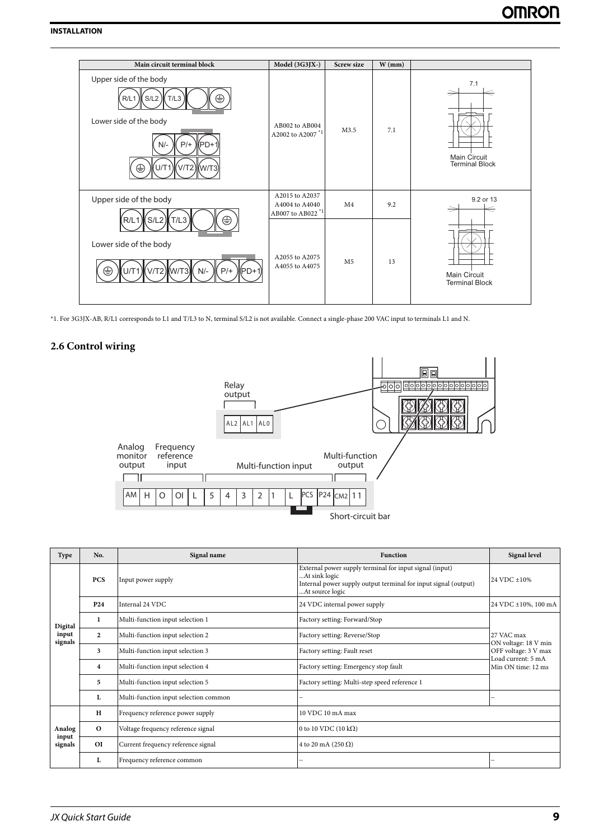| Main circuit terminal block                                                                                                              | Model (3G3JX-)                                                   | <b>Screw size</b> | $W$ (mm) |                                              |
|------------------------------------------------------------------------------------------------------------------------------------------|------------------------------------------------------------------|-------------------|----------|----------------------------------------------|
| Upper side of the body<br>⊜<br>S/L2<br>R/L1<br>T/L3<br>Lower side of the body<br>$P/+$<br>$N/-$<br>$M$ PD+1<br>V/T2) (W/T3)<br>⊜<br>U/T1 | AB002 to AB004<br>A2002 to A2007 <sup>*1</sup>                   | M3.5              | 7.1      | 7.1<br>Main Circuit<br><b>Terminal Block</b> |
| Upper side of the body                                                                                                                   | A2015 to A2037<br>A4004 to A4040<br>AB007 to AB022 <sup>*1</sup> | M <sub>4</sub>    | 9.2      | 9.2 or 13                                    |
| ⊕<br>(S/L2)<br>(T/L3)<br>R/L1<br>Lower side of the body<br>V/T2) W/T3) N/-<br>$P/+$<br>l(PD+1<br>U/T1<br>⇔                               | A2055 to A2075<br>A4055 to A4075                                 | M <sub>5</sub>    | 13       | Main Circuit<br><b>Terminal Block</b>        |

<span id="page-10-0"></span>\*1. For 3G3JX-AB, R/L1 corresponds to L1 and T/L3 to N, terminal S/L2 is not available. Connect a single-phase 200 VAC input to terminals L1 and N.

### **2.6 Control wiring**



| Type             | No.                     | Signal name                           | <b>Function</b>                                                                                                                                                | <b>Signal level</b>                        |
|------------------|-------------------------|---------------------------------------|----------------------------------------------------------------------------------------------------------------------------------------------------------------|--------------------------------------------|
|                  | <b>PCS</b>              | Input power supply                    | External power supply terminal for input signal (input)<br>At sink logic<br>Internal power supply output terminal for input signal (output)<br>At source logic | 24 VDC ±10%                                |
|                  | P <sub>24</sub>         | Internal 24 VDC                       | 24 VDC internal power supply                                                                                                                                   | 24 VDC ±10%, 100 mA                        |
| Digital          | 1                       | Multi-function input selection 1      | Factory setting: Forward/Stop                                                                                                                                  |                                            |
| input<br>signals | $\mathbf{2}$            | Multi-function input selection 2      | Factory setting: Reverse/Stop                                                                                                                                  | 27 VAC max<br>ON voltage: 18 V min         |
|                  | 3                       | Multi-function input selection 3      | Factory setting: Fault reset                                                                                                                                   | OFF voltage: 3 V max<br>Load current: 5 mA |
|                  | $\overline{\mathbf{4}}$ | Multi-function input selection 4      | Factory setting: Emergency stop fault                                                                                                                          | Min ON time: 12 ms                         |
|                  | 5                       | Multi-function input selection 5      | Factory setting: Multi-step speed reference 1                                                                                                                  |                                            |
|                  | L                       | Multi-function input selection common |                                                                                                                                                                |                                            |
|                  | $\mathbf H$             | Frequency reference power supply      | 10 VDC 10 mA max                                                                                                                                               |                                            |
| Analog           | $\mathbf{o}$            | Voltage frequency reference signal    | 0 to 10 VDC (10 $k\Omega$ )                                                                                                                                    |                                            |
| input<br>signals | <b>OI</b>               | Current frequency reference signal    | 4 to 20 mA (250 $\Omega$ )                                                                                                                                     |                                            |
|                  | L                       | Frequency reference common            |                                                                                                                                                                |                                            |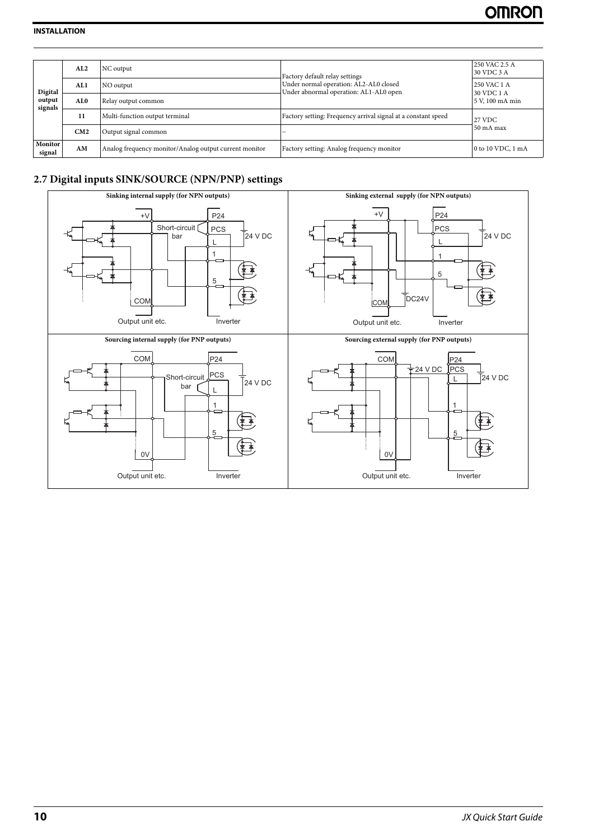|                              | AL2              | NC output                                              | Factory default relay settings                                                   | 250 VAC 2.5 A<br>30 VDC 3 A |
|------------------------------|------------------|--------------------------------------------------------|----------------------------------------------------------------------------------|-----------------------------|
| Digital<br>output<br>signals | AL1<br>NO output |                                                        | Under normal operation: AL2-AL0 closed<br>Under abnormal operation: AL1-AL0 open | 250 VAC 1 A<br>30 VDC 1 A   |
|                              | AL0              | Relay output common                                    |                                                                                  | 5 V, 100 mA min             |
|                              | 11               | Multi-function output terminal                         | Factory setting: Frequency arrival signal at a constant speed                    | 27 VDC                      |
|                              | CM2              | Output signal common                                   |                                                                                  | 50 mA max                   |
| Monitor<br>signal            | AM               | Analog frequency monitor/Analog output current monitor | Factory setting: Analog frequency monitor                                        | 0 to 10 VDC, 1 mA           |

## <span id="page-11-0"></span>**2.7 Digital inputs SINK/SOURCE (NPN/PNP) settings**

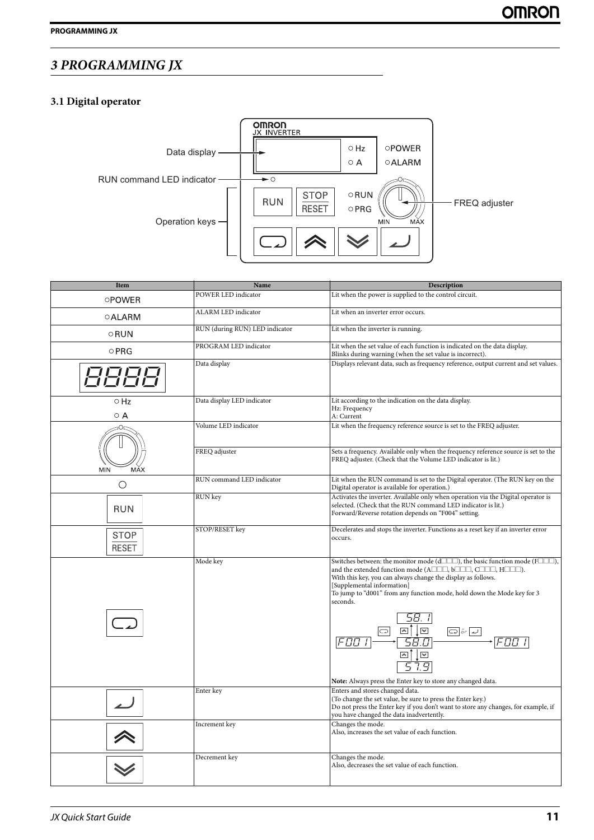# <span id="page-12-1"></span><span id="page-12-0"></span>*3 PROGRAMMING JX*

# **3.1 Digital operator**



| Item                 | Name                           | Description                                                                                                                                                                                                                                                                                                                                                                                                                                                                                                                                              |
|----------------------|--------------------------------|----------------------------------------------------------------------------------------------------------------------------------------------------------------------------------------------------------------------------------------------------------------------------------------------------------------------------------------------------------------------------------------------------------------------------------------------------------------------------------------------------------------------------------------------------------|
| <b>OPOWER</b>        | POWER LED indicator            | Lit when the power is supplied to the control circuit.                                                                                                                                                                                                                                                                                                                                                                                                                                                                                                   |
| <b>OALARM</b>        | ALARM LED indicator            | Lit when an inverter error occurs.                                                                                                                                                                                                                                                                                                                                                                                                                                                                                                                       |
| ○RUN                 | RUN (during RUN) LED indicator | Lit when the inverter is running.                                                                                                                                                                                                                                                                                                                                                                                                                                                                                                                        |
| $\circ$ PRG          | PROGRAM LED indicator          | Lit when the set value of each function is indicated on the data display.<br>Blinks during warning (when the set value is incorrect).                                                                                                                                                                                                                                                                                                                                                                                                                    |
|                      | Data display                   | Displays relevant data, such as frequency reference, output current and set values.                                                                                                                                                                                                                                                                                                                                                                                                                                                                      |
| $\circ$ Hz<br>ΟA     | Data display LED indicator     | Lit according to the indication on the data display.<br>Hz: Frequency<br>A: Current                                                                                                                                                                                                                                                                                                                                                                                                                                                                      |
|                      | Volume LED indicator           | Lit when the frequency reference source is set to the FREQ adjuster.                                                                                                                                                                                                                                                                                                                                                                                                                                                                                     |
| MĂX<br><b>MIN</b>    | FREQ adjuster                  | Sets a frequency. Available only when the frequency reference source is set to the<br>FREQ adjuster. (Check that the Volume LED indicator is lit.)                                                                                                                                                                                                                                                                                                                                                                                                       |
| $\bigcirc$           | RUN command LED indicator      | Lit when the RUN command is set to the Digital operator. (The RUN key on the<br>Digital operator is available for operation.)                                                                                                                                                                                                                                                                                                                                                                                                                            |
| <b>RUN</b>           | RUN key                        | Activates the inverter. Available only when operation via the Digital operator is<br>selected. (Check that the RUN command LED indicator is lit.)<br>Forward/Reverse rotation depends on "F004" setting.                                                                                                                                                                                                                                                                                                                                                 |
| STOP<br><b>RESET</b> | STOP/RESET key                 | Decelerates and stops the inverter. Functions as a reset key if an inverter error<br>occurs.                                                                                                                                                                                                                                                                                                                                                                                                                                                             |
|                      | Mode key                       | Switches between: the monitor mode (d $\Box$ $\Box$ ), the basic function mode (F $\Box$ $\Box$ ),<br>and the extended function mode (A $\Box\Box\Box$ b $\Box\Box\Box$ , C $\Box\Box\Box$ , H $\Box\Box\Box$ ).<br>With this key, you can always change the display as follows.<br>[Supplemental information]<br>To jump to "d001" from any function mode, hold down the Mode key for 3<br>seconds.<br>$\overline{\mathbb{M}}$<br>$\boxed{\triangle}$<br>c ا<br>$\Box$ or<br>58.D<br>FNN<br>Note: Always press the Enter key to store any changed data. |
|                      | Enter key                      | Enters and stores changed data.<br>(To change the set value, be sure to press the Enter key.)<br>Do not press the Enter key if you don't want to store any changes, for example, if<br>you have changed the data inadvertently.                                                                                                                                                                                                                                                                                                                          |
|                      | Increment key                  | Changes the mode.<br>Also, increases the set value of each function.                                                                                                                                                                                                                                                                                                                                                                                                                                                                                     |
|                      | Decrement key                  | Changes the mode.<br>Also, decreases the set value of each function.                                                                                                                                                                                                                                                                                                                                                                                                                                                                                     |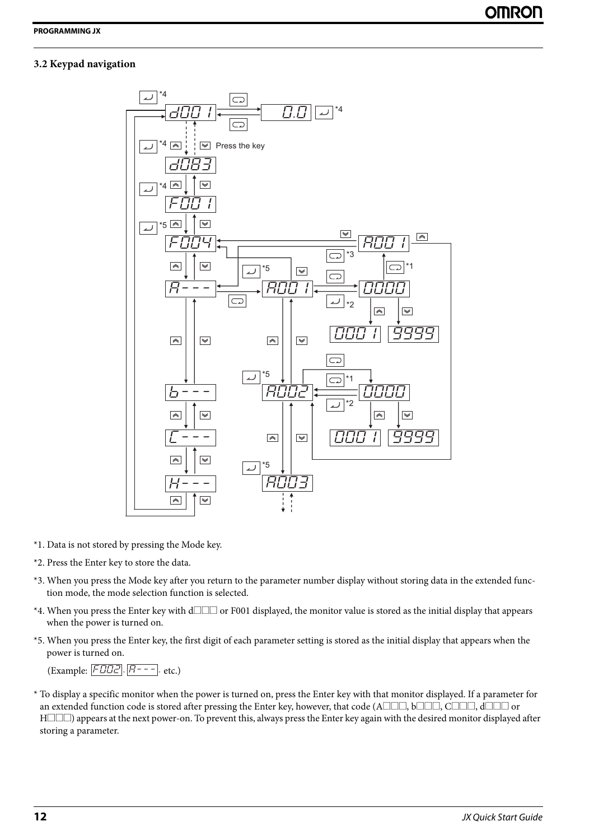# <span id="page-13-0"></span>**3.2 Keypad navigation**



- \*1. Data is not stored by pressing the Mode key.
- \*2. Press the Enter key to store the data.
- \*3. When you press the Mode key after you return to the parameter number display without storing data in the extended function mode, the mode selection function is selected.
- \*4. When you press the Enter key with  $d\Box\Box\Box$  or F001 displayed, the monitor value is stored as the initial display that appears when the power is turned on.
- \*5. When you press the Enter key, the first digit of each parameter setting is stored as the initial display that appears when the power is turned on.

(Example: FEEZ, A---, etc.)

\* To display a specific monitor when the power is turned on, press the Enter key with that monitor displayed. If a parameter for an extended function code is stored after pressing the Enter key, however, that code (A $\Box\Box\Box$ , b $\Box\Box\Box$ ,  $\Box\Box\Box$ , d $\Box\Box\Box$  or  $H\square\square$ ) appears at the next power-on. To prevent this, always press the Enter key again with the desired monitor displayed after storing a parameter.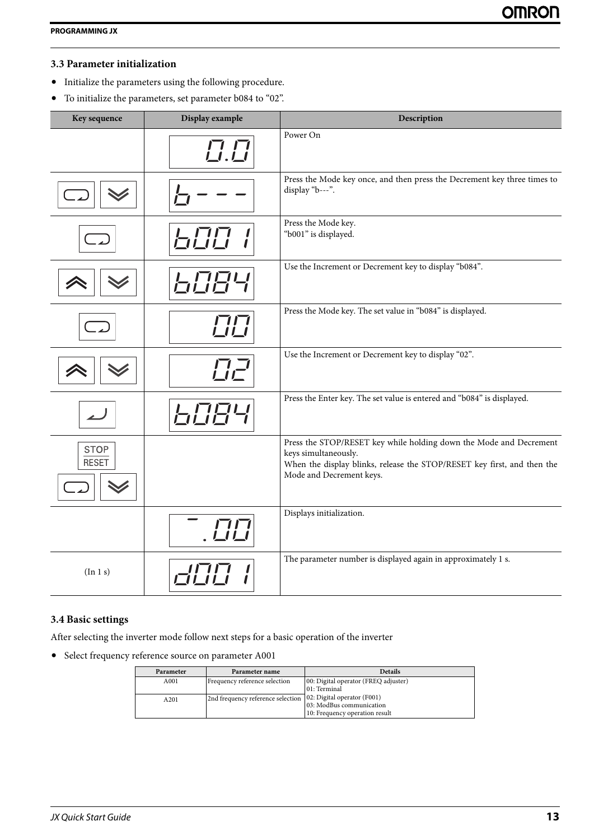# <span id="page-14-0"></span>**3.3 Parameter initialization**

- **•** Initialize the parameters using the following procedure.
- **•** To initialize the parameters, set parameter b084 to "02".

| Key sequence                | Display example | Description                                                                                                                                                                                       |
|-----------------------------|-----------------|---------------------------------------------------------------------------------------------------------------------------------------------------------------------------------------------------|
|                             | $\Box . \Box$   | Power On                                                                                                                                                                                          |
|                             |                 | Press the Mode key once, and then press the Decrement key three times to<br>display "b---".                                                                                                       |
|                             | <b>ETTE</b>     | Press the Mode key.<br>"b001" is displayed.                                                                                                                                                       |
|                             |                 | Use the Increment or Decrement key to display "b084".                                                                                                                                             |
|                             |                 | Press the Mode key. The set value in "b084" is displayed.                                                                                                                                         |
|                             | <b>UZ</b>       | Use the Increment or Decrement key to display "02".                                                                                                                                               |
|                             | HH              | Press the Enter key. The set value is entered and "b084" is displayed.                                                                                                                            |
| <b>STOP</b><br><b>RESET</b> |                 | Press the STOP/RESET key while holding down the Mode and Decrement<br>keys simultaneously.<br>When the display blinks, release the STOP/RESET key first, and then the<br>Mode and Decrement keys. |
|                             |                 | Displays initialization.                                                                                                                                                                          |
| (In 1 s)                    |                 | The parameter number is displayed again in approximately 1 s.                                                                                                                                     |

## <span id="page-14-1"></span>**3.4 Basic settings**

After selecting the inverter mode follow next steps for a basic operation of the inverter

**•** Select frequency reference source on parameter A001

| Parameter        | Parameter name                    | <b>Details</b>                       |
|------------------|-----------------------------------|--------------------------------------|
|                  |                                   |                                      |
| A001             | Frequency reference selection     | 00: Digital operator (FREQ adjuster) |
|                  |                                   | 01: Terminal                         |
| A <sub>201</sub> | 2nd frequency reference selection | 02: Digital operator (F001)          |
|                  |                                   | 03: ModBus communication             |
|                  |                                   | 10: Frequency operation result       |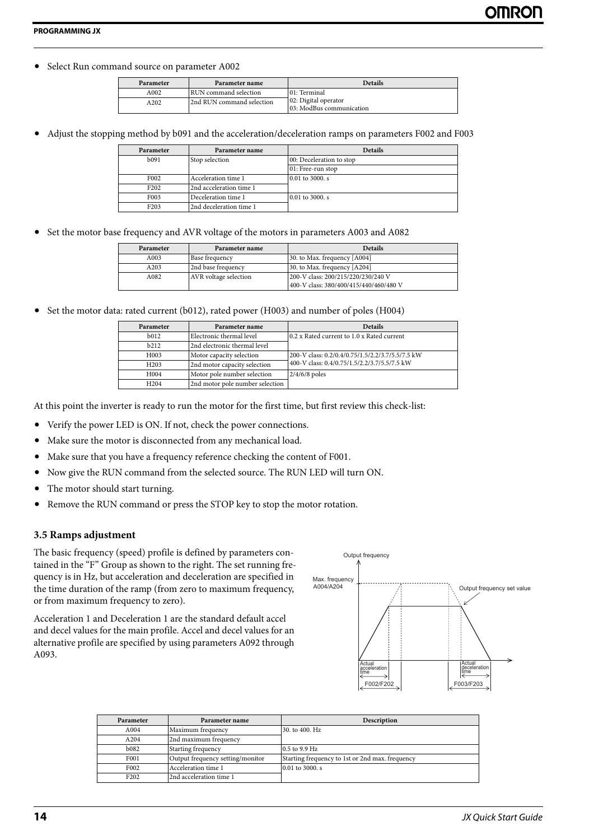**•** Select Run command source on parameter A002

| Parameter | Parameter name            | <b>Details</b>                                   |
|-----------|---------------------------|--------------------------------------------------|
| A002      | RUN command selection     | 01: Terminal                                     |
| A202      | 2nd RUN command selection | 02: Digital operator<br>03: ModBus communication |

**•** Adjust the stopping method by b091 and the acceleration/deceleration ramps on parameters F002 and F003

| Parameter         | Parameter name          | <b>Details</b>           |
|-------------------|-------------------------|--------------------------|
| b <sub>091</sub>  | Stop selection          | 00: Deceleration to stop |
|                   |                         | 01: Free-run stop        |
| F <sub>0</sub> 02 | Acceleration time 1     | 0.01 to 3000, s          |
| F <sub>202</sub>  | 2nd acceleration time 1 |                          |
| F <sub>003</sub>  | Deceleration time 1     | 0.01 to 3000, s          |
| F <sub>203</sub>  | 2nd deceleration time 1 |                          |

**•** Set the motor base frequency and AVR voltage of the motors in parameters A003 and A082

| Parameter | Parameter name        | <b>Details</b>                                                               |
|-----------|-----------------------|------------------------------------------------------------------------------|
| A003      | Base frequency        | 30. to Max. frequency [A004]                                                 |
| A203      | 2nd base frequency    | 30. to Max. frequency [A204]                                                 |
| A082      | AVR voltage selection | 200-V class: 200/215/220/230/240 V<br>400-V class: 380/400/415/440/460/480 V |

• Set the motor data: rated current (b012), rated power (H003) and number of poles (H004)

| Parameter        | Parameter name                  | <b>Details</b>                                   |
|------------------|---------------------------------|--------------------------------------------------|
| b <sub>012</sub> | Electronic thermal level        | 0.2 x Rated current to 1.0 x Rated current       |
| b212             | 2nd electronic thermal level    |                                                  |
| H <sub>003</sub> | Motor capacity selection        | 200-V class: 0.2/0.4/0.75/1.5/2.2/3.7/5.5/7.5 kW |
| H <sub>203</sub> | 2nd motor capacity selection    | 400-V class: 0.4/0.75/1.5/2.2/3.7/5.5/7.5 kW     |
| H <sub>004</sub> | Motor pole number selection     | $2/4/6/8$ poles                                  |
| H <sub>204</sub> | 2nd motor pole number selection |                                                  |

At this point the inverter is ready to run the motor for the first time, but first review this check-list:

- Verify the power LED is ON. If not, check the power connections.
- Make sure the motor is disconnected from any mechanical load.
- Make sure that you have a frequency reference checking the content of F001.
- Now give the RUN command from the selected source. The RUN LED will turn ON.
- <span id="page-15-0"></span>• The motor should start turning.
- Remove the RUN command or press the STOP key to stop the motor rotation.

#### **3.5 Ramps adjustment**

The basic frequency (speed) profile is defined by parameters contained in the "F" Group as shown to the right. The set running frequency is in Hz, but acceleration and deceleration are specified in the time duration of the ramp (from zero to maximum frequency, or from maximum frequency to zero).

Acceleration 1 and Deceleration 1 are the standard default accel and decel values for the main profile. Accel and decel values for an alternative profile are specified by using parameters A092 through A093.



| Parameter        | Parameter name                   | <b>Description</b>                              |
|------------------|----------------------------------|-------------------------------------------------|
| A004             | Maximum frequency                | 30. to 400. Hz                                  |
| A204             | 2nd maximum frequency            |                                                 |
| b082             | Starting frequency               | $0.5$ to 9.9 Hz                                 |
| F001             | Output frequency setting/monitor | Starting frequency to 1st or 2nd max. frequency |
| F002             | Acceleration time 1              | 0.01 to 3000, s                                 |
| F <sub>202</sub> | 2nd acceleration time 1          |                                                 |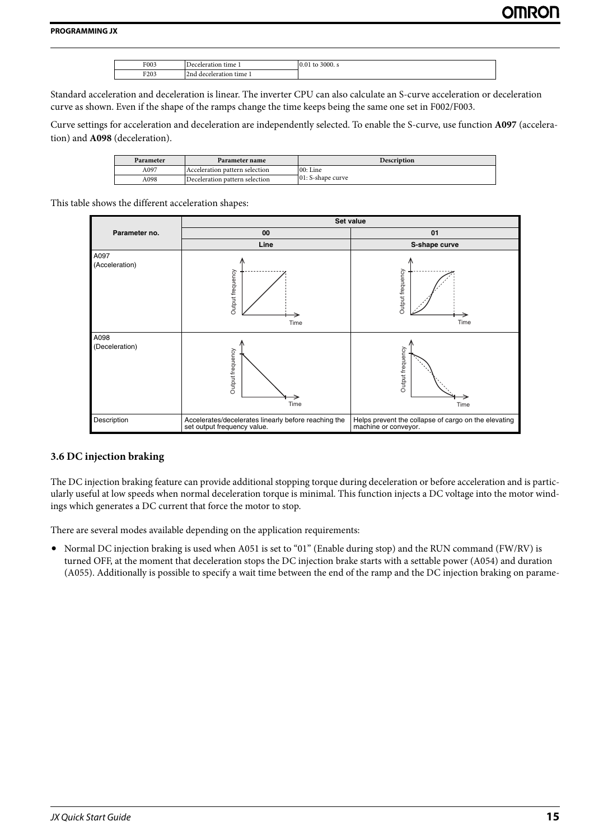| F003 | time 1<br><i>Deceleration</i> | 3000. s<br>to<br>0.01 |
|------|-------------------------------|-----------------------|
| F203 | time i<br>deceleration<br>2nd |                       |

Standard acceleration and deceleration is linear. The inverter CPU can also calculate an S-curve acceleration or deceleration curve as shown. Even if the shape of the ramps change the time keeps being the same one set in F002/F003.

Curve settings for acceleration and deceleration are independently selected. To enable the S-curve, use function **A097** (acceleration) and **A098** (deceleration).

| Parameter | Parameter name                 | <b>Description</b> |
|-----------|--------------------------------|--------------------|
| A097      | Acceleration pattern selection | $00:$ Line         |
| A098      | Deceleration pattern selection | 01: S-shape curve  |

This table shows the different acceleration shapes:

|                        | Set value                                                                           |                                                                              |
|------------------------|-------------------------------------------------------------------------------------|------------------------------------------------------------------------------|
| Parameter no.          | 00                                                                                  | 01                                                                           |
|                        | Line                                                                                | S-shape curve                                                                |
| A097<br>(Acceleration) | Output frequency<br>Time                                                            | Output frequency<br>Time                                                     |
| A098<br>(Deceleration) | Output frequency<br>Time                                                            | Output frequency<br>Time                                                     |
| Description            | Accelerates/decelerates linearly before reaching the<br>set output frequency value. | Helps prevent the collapse of cargo on the elevating<br>machine or conveyor. |

#### <span id="page-16-0"></span>**3.6 DC injection braking**

The DC injection braking feature can provide additional stopping torque during deceleration or before acceleration and is particularly useful at low speeds when normal deceleration torque is minimal. This function injects a DC voltage into the motor windings which generates a DC current that force the motor to stop.

There are several modes available depending on the application requirements:

**•** Normal DC injection braking is used when A051 is set to "01" (Enable during stop) and the RUN command (FW/RV) is turned OFF, at the moment that deceleration stops the DC injection brake starts with a settable power (A054) and duration (A055). Additionally is possible to specify a wait time between the end of the ramp and the DC injection braking on parame-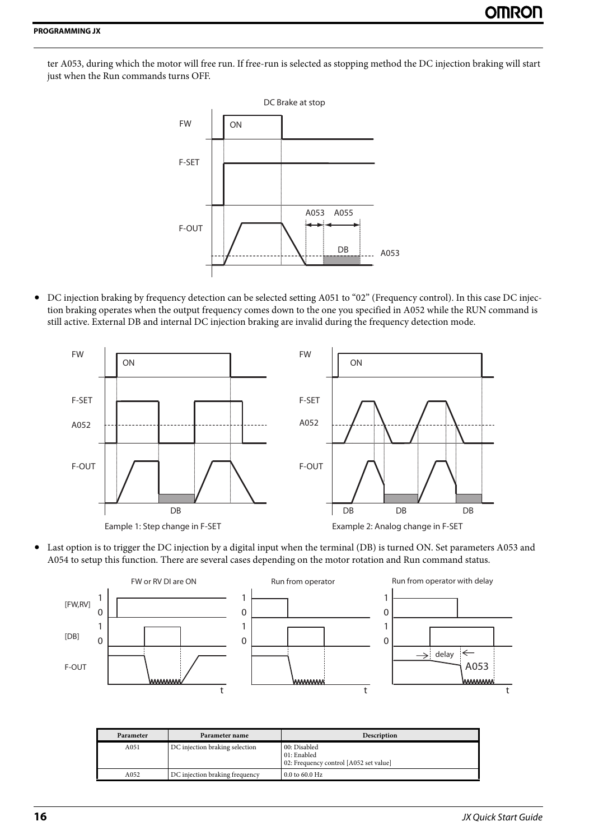ter A053, during which the motor will free run. If free-run is selected as stopping method the DC injection braking will start just when the Run commands turns OFF.



**•** DC injection braking by frequency detection can be selected setting A051 to "02" (Frequency control). In this case DC injection braking operates when the output frequency comes down to the one you specified in A052 while the RUN command is still active. External DB and internal DC injection braking are invalid during the frequency detection mode.



**•** Last option is to trigger the DC injection by a digital input when the terminal (DB) is turned ON. Set parameters A053 and A054 to setup this function. There are several cases depending on the motor rotation and Run command status.



| Parameter | Parameter name                 | <b>Description</b>                                                    |
|-----------|--------------------------------|-----------------------------------------------------------------------|
| A051      | DC injection braking selection | 00: Disabled<br>01: Enabled<br>02: Frequency control [A052 set value] |
| A052      | DC injection braking frequency | $0.0$ to 60.0 Hz                                                      |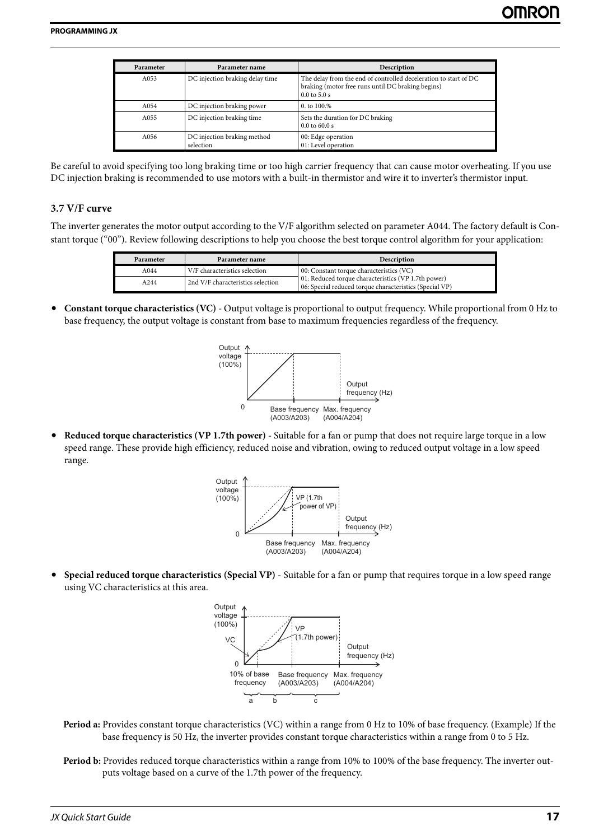| Parameter | Parameter name                           | Description                                                                                                                               |
|-----------|------------------------------------------|-------------------------------------------------------------------------------------------------------------------------------------------|
| A053      | DC injection braking delay time          | The delay from the end of controlled deceleration to start of DC<br>braking (motor free runs until DC braking begins)<br>$0.0$ to $5.0$ s |
| A054      | DC injection braking power               | $0.$ to $100.%$                                                                                                                           |
| A055      | DC injection braking time                | Sets the duration for DC braking<br>$0.0$ to 60.0 s                                                                                       |
| A056      | DC injection braking method<br>selection | 00: Edge operation<br>01: Level operation                                                                                                 |

<span id="page-18-0"></span>Be careful to avoid specifying too long braking time or too high carrier frequency that can cause motor overheating. If you use DC injection braking is recommended to use motors with a built-in thermistor and wire it to inverter's thermistor input.

#### **3.7 V/F curve**

The inverter generates the motor output according to the V/F algorithm selected on parameter A044. The factory default is Constant torque ("00"). Review following descriptions to help you choose the best torque control algorithm for your application:

| Parameter | Parameter name                    | <b>Description</b>                                                                                             |
|-----------|-----------------------------------|----------------------------------------------------------------------------------------------------------------|
| A044      | V/F characteristics selection     | 00: Constant torque characteristics (VC)                                                                       |
| A244      | 2nd V/F characteristics selection | 01: Reduced torque characteristics (VP 1.7th power)<br>06: Special reduced torque characteristics (Special VP) |

**• Constant torque characteristics (VC)** - Output voltage is proportional to output frequency. While proportional from 0 Hz to base frequency, the output voltage is constant from base to maximum frequencies regardless of the frequency.



**• Reduced torque characteristics (VP 1.7th power) -** Suitable for a fan or pump that does not require large torque in a low speed range. These provide high efficiency, reduced noise and vibration, owing to reduced output voltage in a low speed range.



**• Special reduced torque characteristics (Special VP)** - Suitable for a fan or pump that requires torque in a low speed range using VC characteristics at this area.



- **Period a:** Provides constant torque characteristics (VC) within a range from 0 Hz to 10% of base frequency. (Example) If the base frequency is 50 Hz, the inverter provides constant torque characteristics within a range from 0 to 5 Hz.
- **Period b:** Provides reduced torque characteristics within a range from 10% to 100% of the base frequency. The inverter outputs voltage based on a curve of the 1.7th power of the frequency.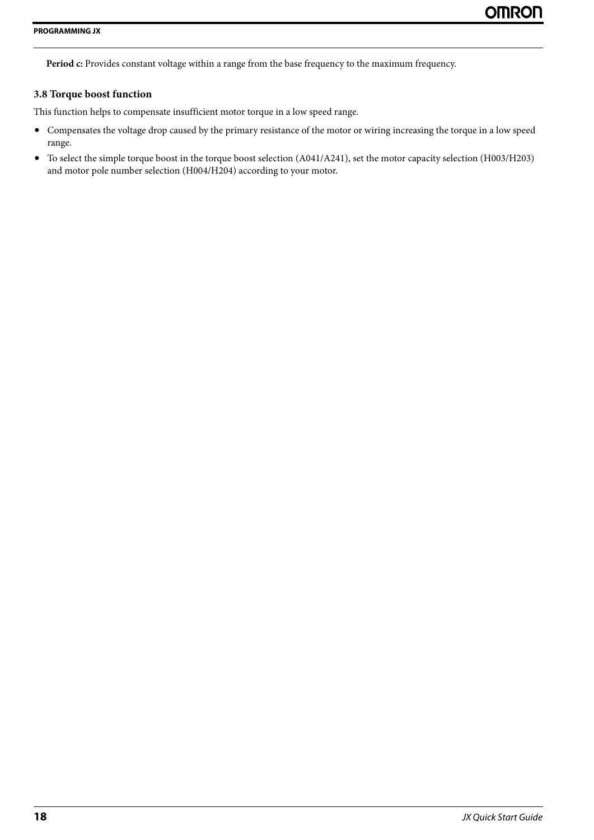<span id="page-19-0"></span>Period c: Provides constant voltage within a range from the base frequency to the maximum frequency.

#### **3.8 Torque boost function**

This function helps to compensate insufficient motor torque in a low speed range.

- **•** Compensates the voltage drop caused by the primary resistance of the motor or wiring increasing the torque in a low speed range.
- **•** To select the simple torque boost in the torque boost selection (A041/A241), set the motor capacity selection (H003/H203) and motor pole number selection (H004/H204) according to your motor.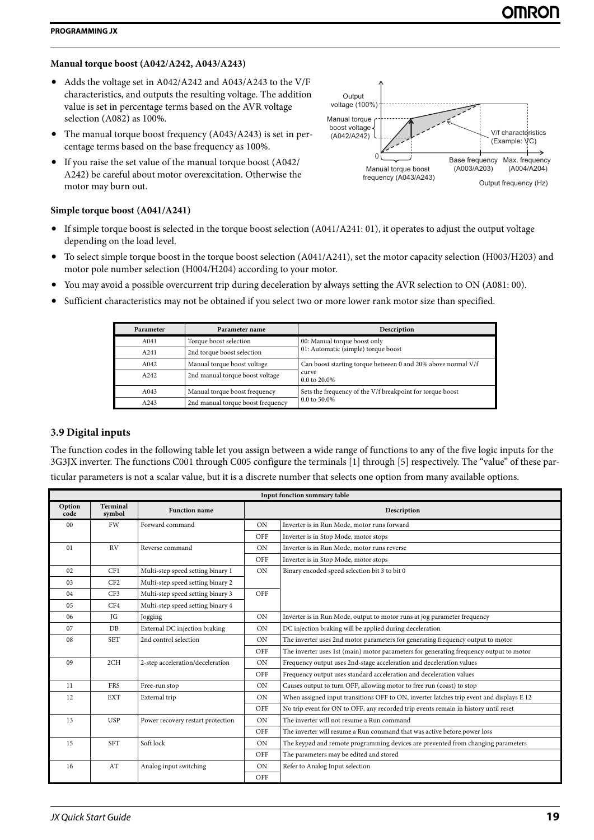# **Manual torque boost (A042/A242, A043/A243)**

- **•** Adds the voltage set in A042/A242 and A043/A243 to the V/F characteristics, and outputs the resulting voltage. The addition value is set in percentage terms based on the AVR voltage selection (A082) as 100%.
- **•** The manual torque boost frequency (A043/A243) is set in percentage terms based on the base frequency as 100%.
- **•** If you raise the set value of the manual torque boost (A042/ A242) be careful about motor overexcitation. Otherwise the motor may burn out.

# **Simple torque boost (A041/A241)**

- **•** If simple torque boost is selected in the torque boost selection (A041/A241: 01), it operates to adjust the output voltage depending on the load level.
- **•** To select simple torque boost in the torque boost selection (A041/A241), set the motor capacity selection (H003/H203) and motor pole number selection (H004/H204) according to your motor.
- **•** You may avoid a possible overcurrent trip during deceleration by always setting the AVR selection to ON (A081: 00).
- **•** Sufficient characteristics may not be obtained if you select two or more lower rank motor size than specified.

| Parameter | Parameter name                    | Description                                                         |  |  |  |
|-----------|-----------------------------------|---------------------------------------------------------------------|--|--|--|
| A041      | Torque boost selection            | 00: Manual torque boost only<br>01: Automatic (simple) torque boost |  |  |  |
| A241      | 2nd torque boost selection        |                                                                     |  |  |  |
| A042      | Manual torque boost voltage       | Can boost starting torque between 0 and 20% above normal V/f        |  |  |  |
| A242      | 2nd manual torque boost voltage   | curve<br>0.0 to 20.0%                                               |  |  |  |
| A043      | Manual torque boost frequency     | Sets the frequency of the V/f breakpoint for torque boost           |  |  |  |
| A243      | 2nd manual torque boost frequency | 0.0 to 50.0%                                                        |  |  |  |

# <span id="page-20-0"></span>**3.9 Digital inputs**

The function codes in the following table let you assign between a wide range of functions to any of the five logic inputs for the 3G3JX inverter. The functions C001 through C005 configure the terminals [1] through [5] respectively. The "value" of these particular parameters is not a scalar value, but it is a discrete number that selects one option from many available options.

|                | Input function summary table |                                   |             |                                                                                          |  |  |
|----------------|------------------------------|-----------------------------------|-------------|------------------------------------------------------------------------------------------|--|--|
| Option<br>code | Terminal<br>symbol           | <b>Function name</b>              | Description |                                                                                          |  |  |
| 00             | FW                           | Forward command                   | <b>ON</b>   | Inverter is in Run Mode, motor runs forward                                              |  |  |
|                |                              |                                   | OFF         | Inverter is in Stop Mode, motor stops                                                    |  |  |
| 01             | <b>RV</b>                    | Reverse command                   | <b>ON</b>   | Inverter is in Run Mode, motor runs reverse                                              |  |  |
|                |                              |                                   | OFF         | Inverter is in Stop Mode, motor stops                                                    |  |  |
| 02             | CF1                          | Multi-step speed setting binary 1 | <b>ON</b>   | Binary encoded speed selection bit 3 to bit 0                                            |  |  |
| 03             | CF2                          | Multi-step speed setting binary 2 |             |                                                                                          |  |  |
| 04             | CF3                          | Multi-step speed setting binary 3 | OFF         |                                                                                          |  |  |
| 05             | CF4                          | Multi-step speed setting binary 4 |             |                                                                                          |  |  |
| 06             | JG                           | Jogging                           | ON          | Inverter is in Run Mode, output to motor runs at jog parameter frequency                 |  |  |
| 07             | DB                           | External DC injection braking     | <b>ON</b>   | DC injection braking will be applied during deceleration                                 |  |  |
| 08             | <b>SET</b>                   | 2nd control selection             | <b>ON</b>   | The inverter uses 2nd motor parameters for generating frequency output to motor          |  |  |
|                |                              |                                   | OFF         | The inverter uses 1st (main) motor parameters for generating frequency output to motor   |  |  |
| 09             | 2CH                          | 2-step acceleration/deceleration  | <b>ON</b>   | Frequency output uses 2nd-stage acceleration and deceleration values                     |  |  |
|                |                              |                                   | OFF         | Frequency output uses standard acceleration and deceleration values                      |  |  |
| 11             | <b>FRS</b>                   | Free-run stop                     | ON          | Causes output to turn OFF, allowing motor to free run (coast) to stop                    |  |  |
| 12             | <b>EXT</b>                   | External trip                     | <b>ON</b>   | When assigned input transitions OFF to ON, inverter latches trip event and displays E 12 |  |  |
|                |                              |                                   | OFF         | No trip event for ON to OFF, any recorded trip events remain in history until reset      |  |  |
| 13             | <b>USP</b>                   | Power recovery restart protection | <b>ON</b>   | The inverter will not resume a Run command                                               |  |  |
|                |                              |                                   | OFF         | The inverter will resume a Run command that was active before power loss                 |  |  |
| 15             | <b>SFT</b>                   | Soft lock                         | <b>ON</b>   | The keypad and remote programming devices are prevented from changing parameters         |  |  |
|                |                              |                                   | OFF         | The parameters may be edited and stored                                                  |  |  |
| 16             | AT                           | Analog input switching            | <b>ON</b>   | Refer to Analog Input selection                                                          |  |  |
|                |                              |                                   | OFF         |                                                                                          |  |  |

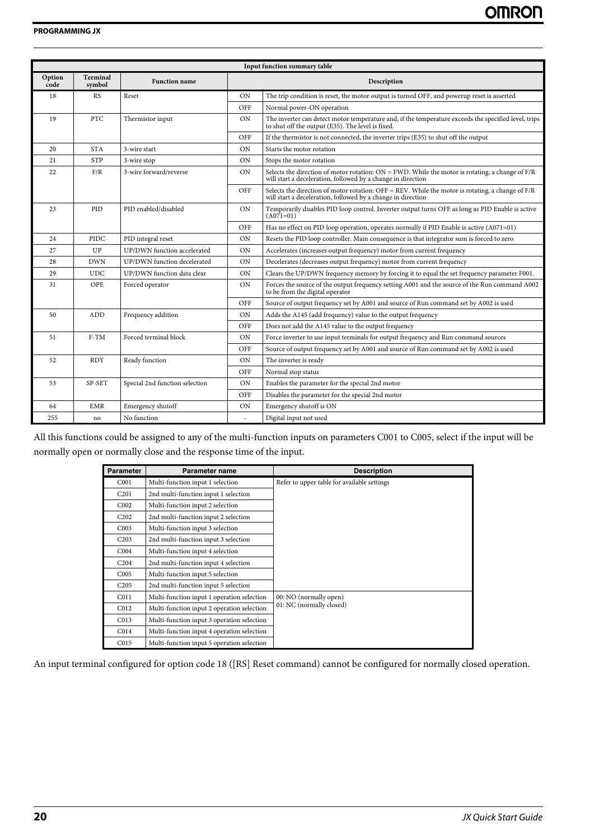|                | Input function summary table |                                |                |                                                                                                                                                                      |  |  |
|----------------|------------------------------|--------------------------------|----------------|----------------------------------------------------------------------------------------------------------------------------------------------------------------------|--|--|
| Option<br>code | Terminal<br>symbol           | <b>Function name</b>           |                | Description                                                                                                                                                          |  |  |
| 18             | <b>RS</b>                    | Reset                          | ON             | The trip condition is reset, the motor output is turned OFF, and powerup reset is asserted                                                                           |  |  |
|                |                              |                                | OFF            | Normal power-ON operation                                                                                                                                            |  |  |
| 19             | <b>PTC</b>                   | Thermistor input               | <b>ON</b>      | The inverter can detect motor temperature and, if the temperature exceeds the specified level, trips<br>to shut off the output (E35). The level is fixed.            |  |  |
|                |                              |                                | OFF            | If the thermistor is not connected, the inverter trips (E35) to shut off the output                                                                                  |  |  |
| 20             | <b>STA</b>                   | 3-wire start                   | ON             | Starts the motor rotation                                                                                                                                            |  |  |
| 21             | <b>STP</b>                   | 3-wire stop                    | ON             | Stops the motor rotation                                                                                                                                             |  |  |
| 22             | F/R                          | 3-wire forward/reverse         | <b>ON</b>      | Selects the direction of motor rotation: $ON = FWD$ . While the motor is rotating, a change of $F/R$<br>will start a deceleration, followed by a change in direction |  |  |
|                |                              |                                | OFF            | Selects the direction of motor rotation: OFF = REV. While the motor is rotating, a change of $F/R$<br>will start a deceleration, followed by a change in direction   |  |  |
| 23             | <b>PID</b>                   | PID enabled/disabled           | ON             | Temporarily disables PID loop control. Inverter output turns OFF as long as PID Enable is active<br>$(A071=01)$                                                      |  |  |
|                |                              |                                | OFF            | Has no effect on PID loop operation, operates normally if PID Enable is active (A071=01)                                                                             |  |  |
| 24             | PIDC                         | PID integral reset             | ON             | Resets the PID loop controller. Main consequence is that integrator sum is forced to zero                                                                            |  |  |
| 27             | UP                           | UP/DWN function accelerated    | ON             | Accelerates (increases output frequency) motor from current frequency                                                                                                |  |  |
| 28             | <b>DWN</b>                   | UP/DWN function decelerated    | ON             | Decelerates (decreases output frequency) motor from current frequency                                                                                                |  |  |
| 29             | <b>UDC</b>                   | UP/DWN function data clear     | ON             | Clears the UP/DWN frequency memory by forcing it to equal the set frequency parameter F001.                                                                          |  |  |
| 31             | OPE                          | Forced operator                | ON             | Forces the source of the output frequency setting A001 and the source of the Run command A002<br>to be from the digital operator                                     |  |  |
|                |                              |                                | OFF            | Source of output frequency set by A001 and source of Run command set by A002 is used                                                                                 |  |  |
| 50             | <b>ADD</b>                   | Frequency addition             | <b>ON</b>      | Adds the A145 (add frequency) value to the output frequency                                                                                                          |  |  |
|                |                              |                                | OFF            | Does not add the A145 value to the output frequency                                                                                                                  |  |  |
| 51             | $F-TM$                       | Forced terminal block          | ON             | Force inverter to use input terminals for output frequency and Run command sources                                                                                   |  |  |
|                |                              |                                | OFF            | Source of output frequency set by A001 and source of Run command set by A002 is used                                                                                 |  |  |
| 52             | <b>RDY</b>                   | Ready function                 | ON             | The inverter is ready                                                                                                                                                |  |  |
|                |                              |                                | OFF            | Normal stop status                                                                                                                                                   |  |  |
| 53             | SP-SET                       | Special 2nd function selection | <b>ON</b>      | Enables the parameter for the special 2nd motor                                                                                                                      |  |  |
|                |                              |                                | OFF            | Disables the parameter for the special 2nd motor                                                                                                                     |  |  |
| 64             | <b>EMR</b>                   | Emergency shutoff              | ON             | Emergency shutoff is ON                                                                                                                                              |  |  |
| 255            | no                           | No function                    | $\overline{a}$ | Digital input not used                                                                                                                                               |  |  |

All this functions could be assigned to any of the multi-function inputs on parameters C001 to C005, select if the input will be normally open or normally close and the response time of the input.

| Parameter        | Parameter name                             | <b>Description</b>                          |
|------------------|--------------------------------------------|---------------------------------------------|
| C <sub>001</sub> | Multi-function input 1 selection           | Refer to upper table for available settings |
| C <sub>201</sub> | 2nd multi-function input 1 selection       |                                             |
| C <sub>002</sub> | Multi-function input 2 selection           |                                             |
| C <sub>202</sub> | 2nd multi-function input 2 selection       |                                             |
| C <sub>003</sub> | Multi-function input 3 selection           |                                             |
| C <sub>203</sub> | 2nd multi-function input 3 selection       |                                             |
| CO04             | Multi-function input 4 selection           |                                             |
| C <sub>204</sub> | 2nd multi-function input 4 selection       |                                             |
| C <sub>005</sub> | Multi-function input 5 selection           |                                             |
| C <sub>205</sub> | 2nd multi-function input 5 selection       |                                             |
| C <sub>011</sub> | Multi-function input 1 operation selection | 00: NO (normally open)                      |
| C <sub>012</sub> | Multi-function input 2 operation selection | 01: NC (normally closed)                    |
| CO13             | Multi-function input 3 operation selection |                                             |
| CO14             | Multi-function input 4 operation selection |                                             |
| CO15             | Multi-function input 5 operation selection |                                             |

An input terminal configured for option code 18 ([RS] Reset command) cannot be configured for normally closed operation.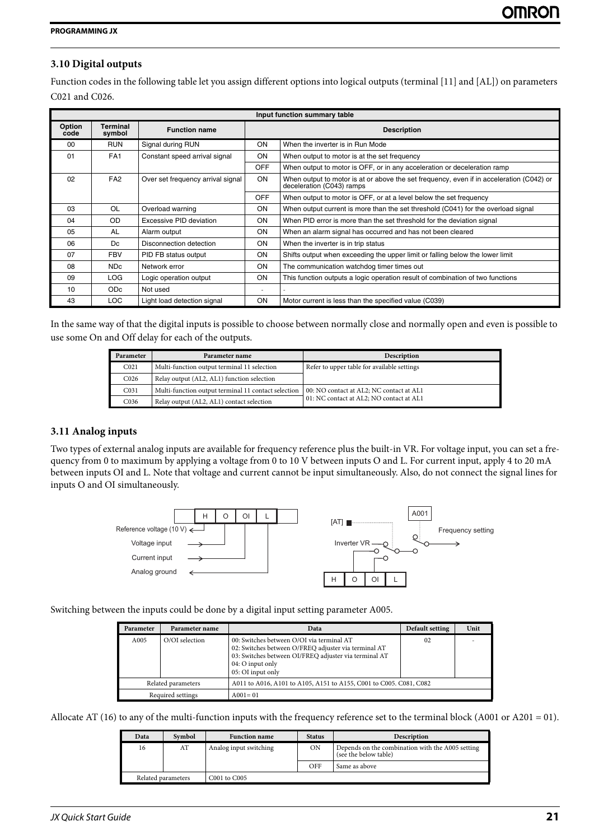## <span id="page-22-0"></span>**3.10 Digital outputs**

Function codes in the following table let you assign different options into logical outputs (terminal [11] and [AL]) on parameters C021 and C026.

|                | Input function summary table |                                   |                    |                                                                                                                       |  |  |
|----------------|------------------------------|-----------------------------------|--------------------|-----------------------------------------------------------------------------------------------------------------------|--|--|
| Option<br>code | Terminal<br>symbol           | <b>Function name</b>              | <b>Description</b> |                                                                                                                       |  |  |
| $00 \,$        | <b>RUN</b>                   | Signal during RUN                 | <b>ON</b>          | When the inverter is in Run Mode                                                                                      |  |  |
| 01             | FA <sub>1</sub>              | Constant speed arrival signal     | <b>ON</b>          | When output to motor is at the set frequency                                                                          |  |  |
|                |                              |                                   | <b>OFF</b>         | When output to motor is OFF, or in any acceleration or deceleration ramp                                              |  |  |
| 02             | FA <sub>2</sub>              | Over set frequency arrival signal | ON                 | When output to motor is at or above the set frequency, even if in acceleration (C042) or<br>deceleration (C043) ramps |  |  |
|                |                              |                                   | <b>OFF</b>         | When output to motor is OFF, or at a level below the set frequency                                                    |  |  |
| 03             | OL                           | Overload warning                  | ON                 | When output current is more than the set threshold (C041) for the overload signal                                     |  |  |
| 04             | OD                           | Excessive PID deviation           | <b>ON</b>          | When PID error is more than the set threshold for the deviation signal                                                |  |  |
| 05             | <b>AL</b>                    | Alarm output                      | ON                 | When an alarm signal has occurred and has not been cleared                                                            |  |  |
| 06             | Dc                           | Disconnection detection           | ON                 | When the inverter is in trip status                                                                                   |  |  |
| 07             | <b>FBV</b>                   | PID FB status output              | <b>ON</b>          | Shifts output when exceeding the upper limit or falling below the lower limit                                         |  |  |
| 08             | ND <sub>c</sub>              | Network error                     | <b>ON</b>          | The communication watchdog timer times out                                                                            |  |  |
| 09             | LOG.                         | Logic operation output            | <b>ON</b>          | This function outputs a logic operation result of combination of two functions                                        |  |  |
| 10             | OD <sub>c</sub>              | Not used                          | -                  |                                                                                                                       |  |  |
| 43             | LOC                          | Light load detection signal       | <b>ON</b>          | Motor current is less than the specified value (C039)                                                                 |  |  |

In the same way of that the digital inputs is possible to choose between normally close and normally open and even is possible to use some On and Off delay for each of the outputs.

<span id="page-22-1"></span>

| Parameter        | Parameter name                                      | <b>Description</b>                          |
|------------------|-----------------------------------------------------|---------------------------------------------|
| CO <sub>21</sub> | Multi-function output terminal 11 selection         | Refer to upper table for available settings |
| C <sub>026</sub> | Relay output (AL2, AL1) function selection          |                                             |
| CO <sub>31</sub> | Multi-function output terminal 11 contact selection | 00: NO contact at AL2; NC contact at AL1    |
| C <sub>036</sub> | Relay output (AL2, AL1) contact selection           | 01: NC contact at AL2; NO contact at AL1    |

#### **3.11 Analog inputs**

Two types of external analog inputs are available for frequency reference plus the built-in VR. For voltage input, you can set a frequency from 0 to maximum by applying a voltage from 0 to 10 V between inputs O and L. For current input, apply 4 to 20 mA between inputs OI and L. Note that voltage and current cannot be input simultaneously. Also, do not connect the signal lines for inputs O and OI simultaneously.



Switching between the inputs could be done by a digital input setting parameter A005.

| Parameter          | Parameter name | Data                                                                                                                                                                                                | Default setting | Unit |
|--------------------|----------------|-----------------------------------------------------------------------------------------------------------------------------------------------------------------------------------------------------|-----------------|------|
| A005               | O/OI selection | 00: Switches between O/OI via terminal AT<br>02: Switches between O/FREQ adjuster via terminal AT<br>03: Switches between OI/FREQ adjuster via terminal AT<br>04: O input only<br>05: OI input only | 02              |      |
| Related parameters |                | A011 to A016, A101 to A105, A151 to A155, C001 to C005. C081, C082                                                                                                                                  |                 |      |
| Required settings  |                | $A001 = 01$                                                                                                                                                                                         |                 |      |

Allocate AT (16) to any of the multi-function inputs with the frequency reference set to the terminal block (A001 or A201 = 01).

| Data               | Symbol | <b>Function name</b>   | <b>Status</b> | <b>Description</b>                                                        |
|--------------------|--------|------------------------|---------------|---------------------------------------------------------------------------|
| 16                 | AT     | Analog input switching | <b>ON</b>     | Depends on the combination with the A005 setting<br>(see the below table) |
|                    |        |                        | OFF           | Same as above                                                             |
| Related parameters |        | C001 to C005           |               |                                                                           |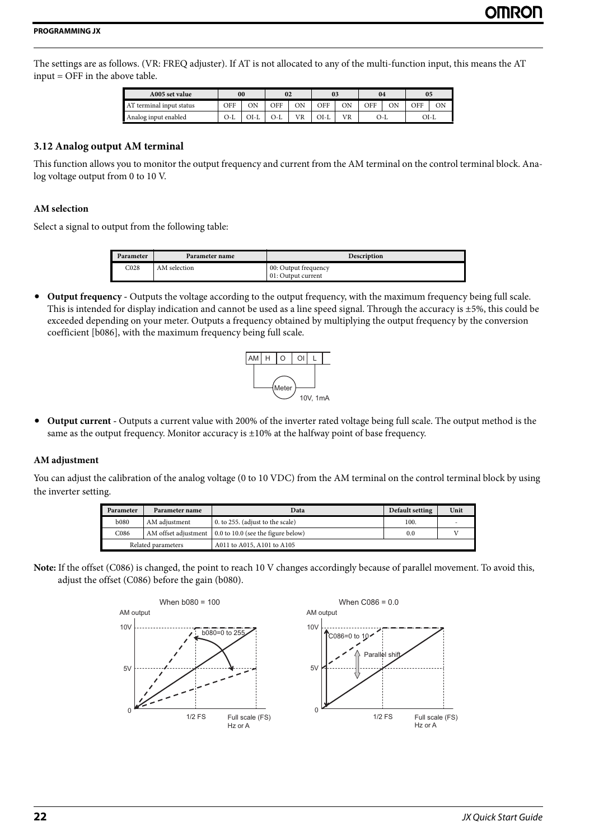The settings are as follows. (VR: FREQ adjuster). If AT is not allocated to any of the multi-function input, this means the AT input = OFF in the above table.

<span id="page-23-0"></span>

| A005 set value           | 00  |      | 02  |    | 03   |    | 04  |  | 05  |      |
|--------------------------|-----|------|-----|----|------|----|-----|--|-----|------|
| AT terminal input status | OFF | ΟN   | OFF | OΝ | OFF  | ΟN | OFF |  | OFF | ОN   |
| Analog input enabled     | O-L | OI-L | J-C | VR | OI-L | VR | O-L |  |     | OI-L |

#### **3.12 Analog output AM terminal**

This function allows you to monitor the output frequency and current from the AM terminal on the control terminal block. Analog voltage output from 0 to 10 V.

#### **AM selection**

Select a signal to output from the following table:

| <sup>9</sup> arameter | Parameter name | <b>Description</b>                         |
|-----------------------|----------------|--------------------------------------------|
| C <sub>028</sub>      | AM selection   | 00: Output frequency<br>01: Output current |

**• Output frequency -** Outputs the voltage according to the output frequency, with the maximum frequency being full scale. This is intended for display indication and cannot be used as a line speed signal. Through the accuracy is ±5%, this could be exceeded depending on your meter. Outputs a frequency obtained by multiplying the output frequency by the conversion coefficient [b086], with the maximum frequency being full scale.



**• Output current -** Outputs a current value with 200% of the inverter rated voltage being full scale. The output method is the same as the output frequency. Monitor accuracy is  $\pm 10\%$  at the halfway point of base frequency.

#### **AM adjustment**

You can adjust the calibration of the analog voltage (0 to 10 VDC) from the AM terminal on the control terminal block by using the inverter setting.

| Parameter          | Parameter name | Data                                                      | Default setting | Unit |
|--------------------|----------------|-----------------------------------------------------------|-----------------|------|
| <b>b</b> 080       | AM adjustment  | 0. to 255. (adjust to the scale)                          | 100.            | . .  |
| C086               |                | AM offset adjustment   0.0 to 10.0 (see the figure below) | 0.0             |      |
| Related parameters |                | A011 to A015, A101 to A105                                |                 |      |

**Note:** If the offset (C086) is changed, the point to reach 10 V changes accordingly because of parallel movement. To avoid this, adjust the offset (C086) before the gain (b080).

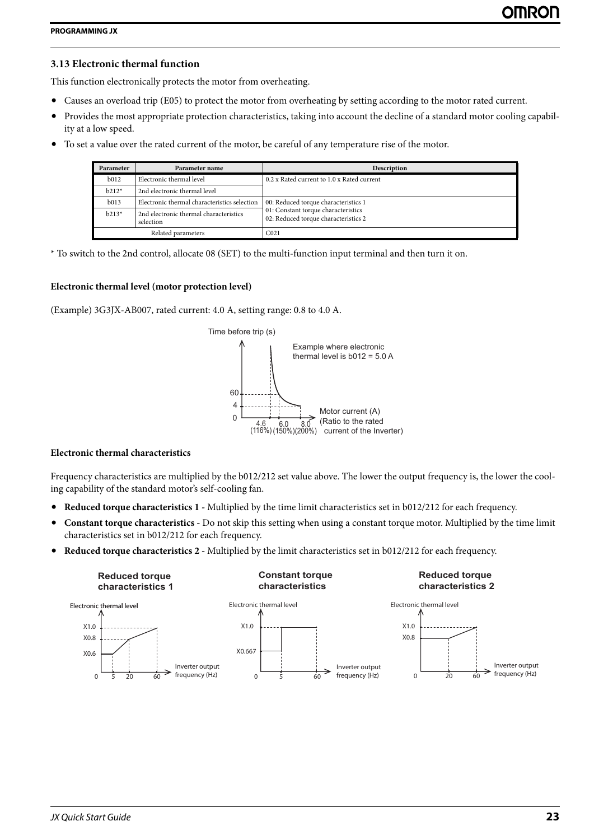## <span id="page-24-0"></span>**3.13 Electronic thermal function**

This function electronically protects the motor from overheating.

- **•** Causes an overload trip (E05) to protect the motor from overheating by setting according to the motor rated current.
- **•** Provides the most appropriate protection characteristics, taking into account the decline of a standard motor cooling capability at a low speed.
- **•** To set a value over the rated current of the motor, be careful of any temperature rise of the motor.

| Parameter        | Parameter name                                      | Description                                                                 |
|------------------|-----------------------------------------------------|-----------------------------------------------------------------------------|
| b <sub>012</sub> | Electronic thermal level                            | 0.2 x Rated current to 1.0 x Rated current                                  |
| $b212*$          | 2nd electronic thermal level                        |                                                                             |
| b013             | Electronic thermal characteristics selection        | 00: Reduced torque characteristics 1                                        |
| $b213*$          | 2nd electronic thermal characteristics<br>selection | 01: Constant torque characteristics<br>02: Reduced torque characteristics 2 |
|                  | Related parameters                                  | C <sub>021</sub>                                                            |

\* To switch to the 2nd control, allocate 08 (SET) to the multi-function input terminal and then turn it on.

#### **Electronic thermal level (motor protection level)**

(Example) 3G3JX-AB007, rated current: 4.0 A, setting range: 0.8 to 4.0 A.



### **Electronic thermal characteristics**

Frequency characteristics are multiplied by the b012/212 set value above. The lower the output frequency is, the lower the cooling capability of the standard motor's self-cooling fan.

- **• Reduced torque characteristics 1 -** Multiplied by the time limit characteristics set in b012/212 for each frequency.
- **• Constant torque characteristics -** Do not skip this setting when using a constant torque motor. Multiplied by the time limit characteristics set in b012/212 for each frequency.
- **• Reduced torque characteristics 2 -** Multiplied by the limit characteristics set in b012/212 for each frequency.

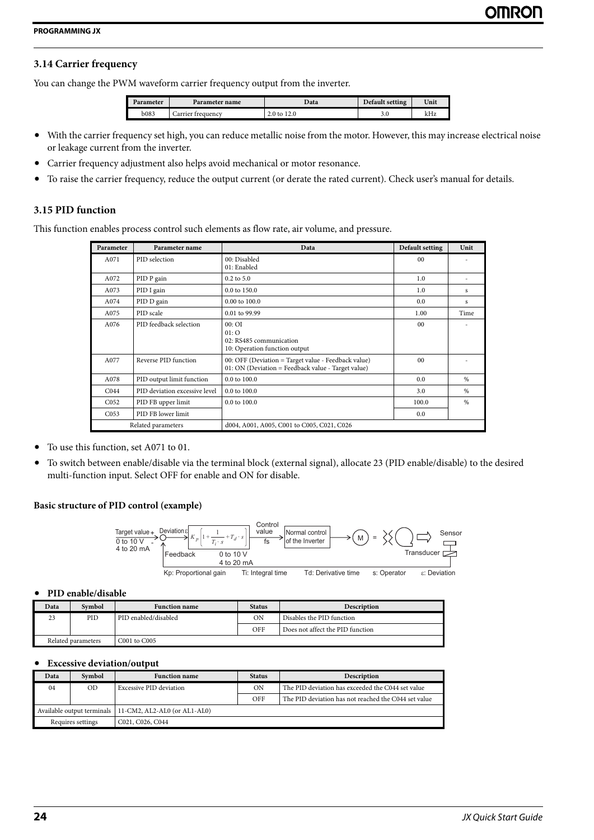## <span id="page-25-0"></span>**3.14 Carrier frequency**

You can change the PWM waveform carrier frequency output from the inverter.

| Parameter    | <b>Parameter name</b> | Data        | Default setting | Unit |
|--------------|-----------------------|-------------|-----------------|------|
| <b>b</b> 083 | Carrier frequency     | 2.0 to 12.0 | u               | kHz  |

- With the carrier frequency set high, you can reduce metallic noise from the motor. However, this may increase electrical noise or leakage current from the inverter.
- <span id="page-25-1"></span>**•** Carrier frequency adjustment also helps avoid mechanical or motor resonance.
- **•** To raise the carrier frequency, reduce the output current (or derate the rated current). Check user's manual for details.

#### **3.15 PID function**

This function enables process control such elements as flow rate, air volume, and pressure.

| Parameter        | Parameter name                | Data                                                                                                      | Default setting | Unit |
|------------------|-------------------------------|-----------------------------------------------------------------------------------------------------------|-----------------|------|
| A071             | PID selection                 | 00: Disabled<br>01: Enabled                                                                               | 0 <sub>0</sub>  |      |
| A072             | PID P gain                    | $0.2$ to $5.0$                                                                                            | 1.0             |      |
| A073             | PID I gain                    | 0.0 to 150.0                                                                                              | 1.0             | s    |
| A074             | PID D gain                    | $0.00$ to $100.0$                                                                                         | 0.0             | s    |
| A075             | PID scale                     | 0.01 to 99.99                                                                                             | 1.00            | Time |
| A076             | PID feedback selection        | 00:OT<br>01:O<br>02: RS485 communication<br>10: Operation function output                                 | 0 <sub>0</sub>  |      |
| A077             | Reverse PID function          | 00: OFF (Deviation = Target value - Feedback value)<br>01: ON (Deviation = Feedback value - Target value) | 0 <sub>0</sub>  |      |
| A078             | PID output limit function     | $0.0$ to $100.0$                                                                                          | 0.0             | $\%$ |
| C <sub>044</sub> | PID deviation excessive level | $0.0$ to $100.0$                                                                                          | 3.0             | $\%$ |
| CO <sub>52</sub> | PID FB upper limit            | 0.0 to 100.0                                                                                              | 100.0           | $\%$ |
| CO <sub>53</sub> | PID FB lower limit            |                                                                                                           | 0.0             |      |
|                  | Related parameters            | d004, A001, A005, C001 to C005, C021, C026                                                                |                 |      |

**•** To use this function, set A071 to 01.

**•** To switch between enable/disable via the terminal block (external signal), allocate 23 (PID enable/disable) to the desired multi-function input. Select OFF for enable and ON for disable.

#### **Basic structure of PID control (example)**



#### **• PID enable/disable**

| Data               | Symbol | <b>Function name</b> | <b>Status</b> | <b>Description</b>               |
|--------------------|--------|----------------------|---------------|----------------------------------|
| 23                 | PID    | PID enabled/disabled | <b>ON</b>     | Disables the PID function        |
|                    |        |                      | OFF           | Does not affect the PID function |
| Related parameters |        | C001 to C005         |               |                                  |

#### **• Excessive deviation/output**

| Data                                                    | Symbol         | <b>Function name</b>    | <b>Status</b> | <b>Description</b>                                   |
|---------------------------------------------------------|----------------|-------------------------|---------------|------------------------------------------------------|
| 04                                                      | 0 <sub>D</sub> | Excessive PID deviation | ΟN            | The PID deviation has exceeded the C044 set value    |
|                                                         |                |                         | OFF           | The PID deviation has not reached the C044 set value |
| Available output terminals 11-CM2, AL2-AL0 (or AL1-AL0) |                |                         |               |                                                      |
| Requires settings                                       |                | C021, C026, C044        |               |                                                      |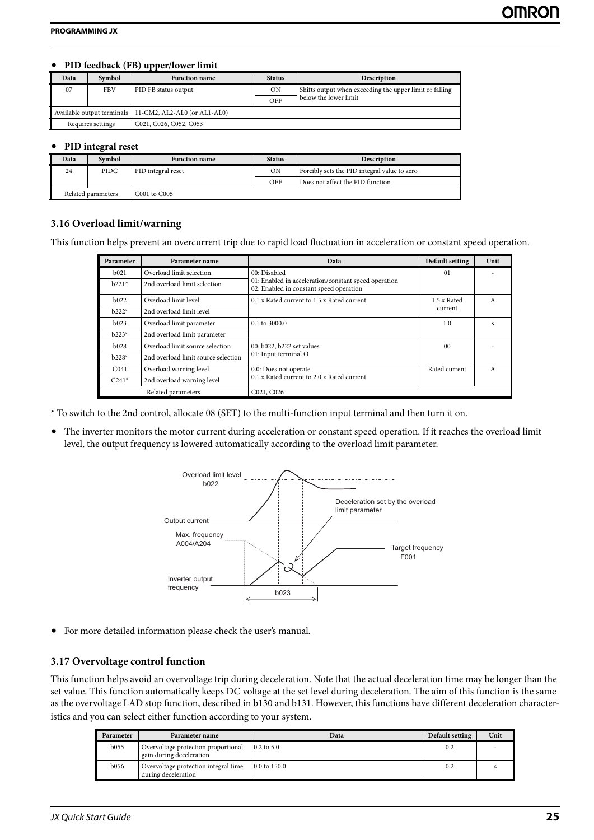# **• PID feedback (FB) upper/lower limit**

| <b>Data</b>       | Symbol     | <b>Function name</b>                                    | <b>Status</b> | Description                                             |
|-------------------|------------|---------------------------------------------------------|---------------|---------------------------------------------------------|
|                   |            |                                                         |               |                                                         |
| 07                | <b>FBV</b> | PID FB status output                                    | <b>ON</b>     | Shifts output when exceeding the upper limit or falling |
|                   |            |                                                         | OFF           | below the lower limit                                   |
|                   |            | Available output terminals 11-CM2, AL2-AL0 (or AL1-AL0) |               |                                                         |
| Requires settings |            | C021, C026, C052, C053                                  |               |                                                         |

# **• PID integral reset**

<span id="page-26-0"></span>

| Data | Symbol             | <b>Function name</b> | <b>Status</b> | Description                                  |
|------|--------------------|----------------------|---------------|----------------------------------------------|
| 24   | PIDC               | PID integral reset   | ON            | Forcibly sets the PID integral value to zero |
|      |                    |                      | OFF           | Does not affect the PID function             |
|      | Related parameters | C001 to C005         |               |                                              |
|      |                    |                      |               |                                              |

# **3.16 Overload limit/warning**

This function helps prevent an overcurrent trip due to rapid load fluctuation in acceleration or constant speed operation.

| Parameter        | Parameter name                      | Data                                                                                            | Default setting | Unit |
|------------------|-------------------------------------|-------------------------------------------------------------------------------------------------|-----------------|------|
| b021             | Overload limit selection            | 00: Disabled                                                                                    | 01              |      |
| $b221*$          | 2nd overload limit selection        | 01: Enabled in acceleration/constant speed operation<br>02: Enabled in constant speed operation |                 |      |
| b022             | Overload limit level                | 0.1 x Rated current to 1.5 x Rated current                                                      | 1.5 x Rated     | A    |
| $b222*$          | 2nd overload limit level            |                                                                                                 | current         |      |
| b023             | Overload limit parameter            | $0.1$ to 3000.0                                                                                 | 1.0             |      |
| $b223*$          | 2nd overload limit parameter        |                                                                                                 |                 |      |
| b028             | Overload limit source selection     | 00: b022, b222 set values                                                                       | 0 <sub>0</sub>  |      |
| $b228*$          | 2nd overload limit source selection | 01: Input terminal O                                                                            |                 |      |
| C <sub>041</sub> | Overload warning level              | 0.0: Does not operate                                                                           | Rated current   | A    |
| $C241*$          | 2nd overload warning level          | 0.1 x Rated current to 2.0 x Rated current                                                      |                 |      |
|                  | Related parameters                  | C021, C026                                                                                      |                 |      |

\* To switch to the 2nd control, allocate 08 (SET) to the multi-function input terminal and then turn it on.

**•** The inverter monitors the motor current during acceleration or constant speed operation. If it reaches the overload limit level, the output frequency is lowered automatically according to the overload limit parameter.



<span id="page-26-1"></span>**•** For more detailed information please check the user's manual.

# **3.17 Overvoltage control function**

This function helps avoid an overvoltage trip during deceleration. Note that the actual deceleration time may be longer than the set value. This function automatically keeps DC voltage at the set level during deceleration. The aim of this function is the same as the overvoltage LAD stop function, described in b130 and b131. However, this functions have different deceleration characteristics and you can select either function according to your system.

| Parameter   | Parameter name                                                  | Data                    | Default setting | Unit |
|-------------|-----------------------------------------------------------------|-------------------------|-----------------|------|
| b055        | Overvoltage protection proportional<br>gain during deceleration | $0.2$ to 5.0            | 0.2             |      |
| <b>b056</b> | Overvoltage protection integral time<br>during deceleration     | $0.0 \text{ to } 150.0$ | 0.2             |      |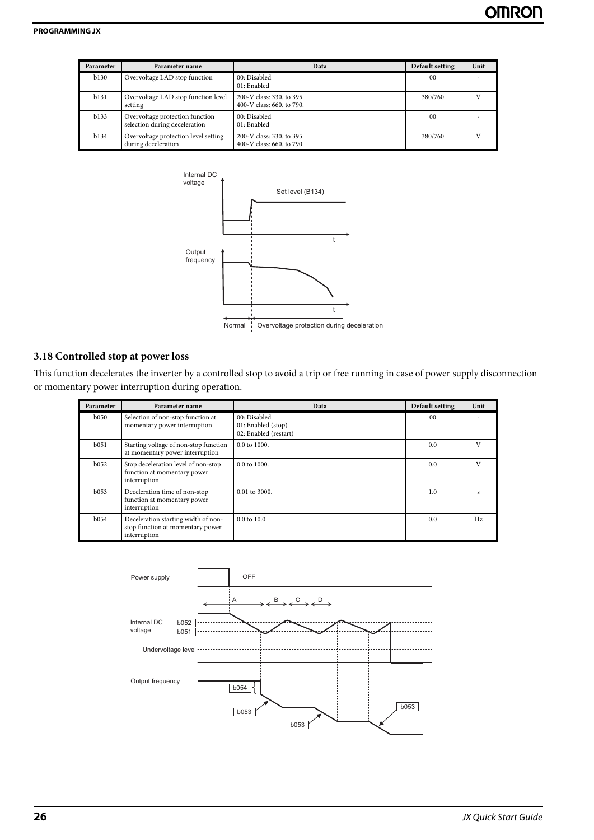| Parameter    | Parameter name                                                   | Data                                                   | Default setting | Unit |
|--------------|------------------------------------------------------------------|--------------------------------------------------------|-----------------|------|
| b130         | Overvoltage LAD stop function                                    | 00: Disabled<br>01: Enabled                            | 0 <sup>0</sup>  |      |
| b131         | Overvoltage LAD stop function level<br>setting                   | 200-V class: 330, to 395.<br>400-V class: 660, to 790. | 380/760         |      |
| b133         | Overvoltage protection function<br>selection during deceleration | 00: Disabled<br>01: Enabled                            | 0 <sup>0</sup>  |      |
| <b>b</b> 134 | Overvoltage protection level setting<br>during deceleration      | 200-V class: 330, to 395.<br>400-V class: 660, to 790. | 380/760         |      |



#### Normal : Overvoltage protection during deceleration

#### <span id="page-27-0"></span>**3.18 Controlled stop at power loss**

This function decelerates the inverter by a controlled stop to avoid a trip or free running in case of power supply disconnection or momentary power interruption during operation.

| Parameter    | Parameter name                                                                          | Data                                                        | Default setting | Unit |
|--------------|-----------------------------------------------------------------------------------------|-------------------------------------------------------------|-----------------|------|
| <b>b</b> 050 | Selection of non-stop function at<br>momentary power interruption                       | 00: Disabled<br>01: Enabled (stop)<br>02: Enabled (restart) | 0 <sub>0</sub>  |      |
| $b$ 0.51     | Starting voltage of non-stop function<br>at momentary power interruption                | $0.0 \text{ to } 1000.$                                     | 0.0             |      |
| b052         | Stop deceleration level of non-stop<br>function at momentary power<br>interruption      | $0.0 \text{ to } 1000.$                                     | 0.0             | V    |
| b053         | Deceleration time of non-stop<br>function at momentary power<br>interruption            | $0.01$ to 3000.                                             | 1.0             |      |
| <b>b</b> 054 | Deceleration starting width of non-<br>stop function at momentary power<br>interruption | $0.0 \text{ to } 10.0$                                      | 0.0             | Hz   |

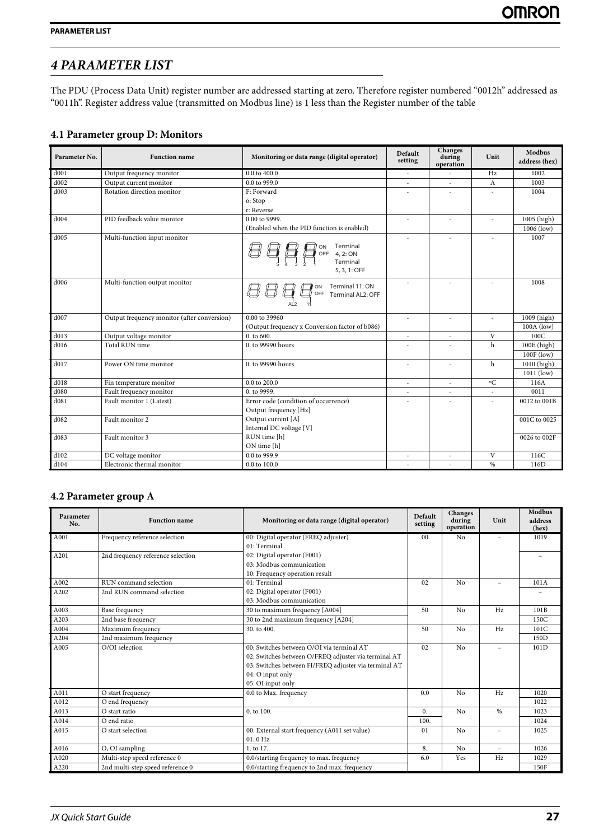# <span id="page-28-0"></span>*4 PARAMETER LIST*

<span id="page-28-1"></span>The PDU (Process Data Unit) register number are addressed starting at zero. Therefore register numbered "0012h" addressed as "0011h". Register address value (transmitted on Modbus line) is 1 less than the Register number of the table

# **4.1 Parameter group D: Monitors**

| Parameter No.    | <b>Function name</b>                        | Monitoring or data range (digital operator)       | Default<br>setting | Changes<br>during<br>operation | Unit            | Modbus<br>address (hex) |
|------------------|---------------------------------------------|---------------------------------------------------|--------------------|--------------------------------|-----------------|-------------------------|
| d001             | Output frequency monitor                    | $0.0$ to $400.0$                                  | $\sim$             | $\overline{\phantom{a}}$       | Hz              | 1002                    |
| d002             | Output current monitor                      | 0.0 to 999.0                                      | $\bar{ }$          | $\sim$                         | A               | 1003                    |
| d003             | Rotation direction monitor                  | F: Forward                                        |                    |                                |                 | 1004                    |
|                  |                                             | o: Stop                                           |                    |                                |                 |                         |
|                  |                                             | r: Reverse                                        |                    |                                |                 |                         |
| d004             | PID feedback value monitor                  | 0.00 to 9999.                                     |                    |                                |                 | 1005 (high)             |
|                  |                                             | (Enabled when the PID function is enabled)        |                    |                                |                 | $1006$ (low)            |
| d005             | Multi-function input monitor                | Terminal<br>4, 2: ON<br>Terminal<br>5, 3, 1: OFF  | $\overline{a}$     |                                | $\overline{a}$  | 1007                    |
| d <sub>006</sub> | Multi-function output monitor               | Terminal 11: ON<br>OFF<br>Terminal AL2: OFF<br>11 | $\sim$             |                                |                 | 1008                    |
| d007             | Output frequency monitor (after conversion) | 0.00 to 39960                                     | $\sim$             |                                | $\overline{a}$  | 1009 (high)             |
|                  |                                             | (Output frequency x Conversion factor of b086)    |                    |                                |                 | $100A$ (low)            |
| d013             | Output voltage monitor                      | 0. to 600.                                        | $\sim$             | $\sim$                         | V               | 100C                    |
| d016             | Total RUN time                              | 0. to 99990 hours                                 |                    |                                | $\mathbf h$     | 100E (high)             |
|                  |                                             |                                                   |                    |                                |                 | 100F (low)              |
| d017             | Power ON time monitor                       | 0. to 99990 hours                                 | $\sim$             | $\sim$                         | $\mathbf h$     | 1010 (high)             |
|                  |                                             |                                                   |                    |                                |                 | $1011$ (low)            |
| d018             | Fin temperature monitor                     | 0.0 to 200.0                                      | $\sim$             | $\sim$                         | $\rm ^{\circ}C$ | 116A                    |
| d080             | Fault frequency monitor                     | 0. to 9999.                                       | ÷                  | $\sim$                         |                 | 0011                    |
| d081             | Fault monitor 1 (Latest)                    | Error code (condition of occurrence)              |                    |                                |                 | 0012 to 001B            |
|                  |                                             | Output frequency [Hz]                             |                    |                                |                 |                         |
| d082             | Fault monitor 2                             | Output current [A]                                |                    |                                |                 | 001C to 0025            |
|                  |                                             | Internal DC voltage [V]                           |                    |                                |                 |                         |
| d083             | Fault monitor 3                             | RUN time [h]                                      |                    |                                |                 | 0026 to 002F            |
|                  |                                             | ON time [h]                                       |                    |                                |                 |                         |
| d102             | DC voltage monitor                          | 0.0 to 999.9                                      | $\sim$             |                                | V               | 116C                    |
| d104             | Electronic thermal monitor                  | 0.0 to 100.0                                      |                    |                                | %               | 116D                    |

# <span id="page-28-2"></span>**4.2 Parameter group A**

| Parameter<br>No. | <b>Function name</b>              | Monitoring or data range (digital operator)           | Default<br>setting | Changes<br>during<br>operation | Unit                     | <b>Modbus</b><br>address<br>(hex) |
|------------------|-----------------------------------|-------------------------------------------------------|--------------------|--------------------------------|--------------------------|-----------------------------------|
| A001             | Frequency reference selection     | 00: Digital operator (FREQ adjuster)                  | 0 <sub>0</sub>     | N <sub>o</sub>                 | $\overline{\phantom{a}}$ | 1019                              |
|                  |                                   | 01: Terminal                                          |                    |                                |                          |                                   |
| A201             | 2nd frequency reference selection | 02: Digital operator (F001)                           |                    |                                |                          |                                   |
|                  |                                   | 03: Modbus communication                              |                    |                                |                          |                                   |
|                  |                                   | 10: Frequency operation result                        |                    |                                |                          |                                   |
| A002             | RUN command selection             | 01: Terminal                                          | 02                 | No                             |                          | 101A                              |
| A202             | 2nd RUN command selection         | 02: Digital operator (F001)                           |                    |                                |                          |                                   |
|                  |                                   | 03: Modbus communication                              |                    |                                |                          |                                   |
| A003             | Base frequency                    | 30 to maximum frequency [A004]                        | 50                 | No                             | Hz                       | 101B                              |
| A203             | 2nd base frequency                | 30 to 2nd maximum frequency [A204]                    |                    |                                |                          | 150C                              |
| A004             | Maximum frequency                 | 30. to 400.                                           | 50                 | No                             | Hz                       | 101C                              |
| A204             | 2nd maximum frequency             |                                                       |                    |                                |                          | 150 <sub>D</sub>                  |
| A005             | O/OI selection                    | 00: Switches between O/OI via terminal AT             | 02                 | No                             | $\overline{\phantom{0}}$ | 101D                              |
|                  |                                   | 02: Switches between O/FREQ adjuster via terminal AT  |                    |                                |                          |                                   |
|                  |                                   | 03: Switches between FI/FREQ adjuster via terminal AT |                    |                                |                          |                                   |
|                  |                                   | 04: O input only                                      |                    |                                |                          |                                   |
|                  |                                   | 05: OI input only                                     |                    |                                |                          |                                   |
| A011             | O start frequency                 | 0.0 to Max. frequency                                 | 0.0                | No                             | Hz                       | 1020                              |
| A012             | O end frequency                   |                                                       |                    |                                |                          | 1022                              |
| A013             | O start ratio                     | 0. to 100.                                            | $\mathbf{0}$ .     | No                             | %                        | 1023                              |
| A014             | O end ratio                       |                                                       | 100.               |                                |                          | 1024                              |
| A015             | O start selection                 | 00: External start frequency (A011 set value)         | 01                 | No                             | $\overline{\phantom{0}}$ | 1025                              |
|                  |                                   | 01:0 Hz                                               |                    |                                |                          |                                   |
| A016             | O, OI sampling                    | 1. to 17.                                             | 8.                 | No                             | $\overline{\phantom{a}}$ | 1026                              |
| A020             | Multi-step speed reference 0      | 0.0/starting frequency to max. frequency              | 6.0                | Yes                            | Hz                       | 1029                              |
| A220             | 2nd multi-step speed reference 0  | 0.0/starting frequency to 2nd max. frequency          |                    |                                |                          | 150F                              |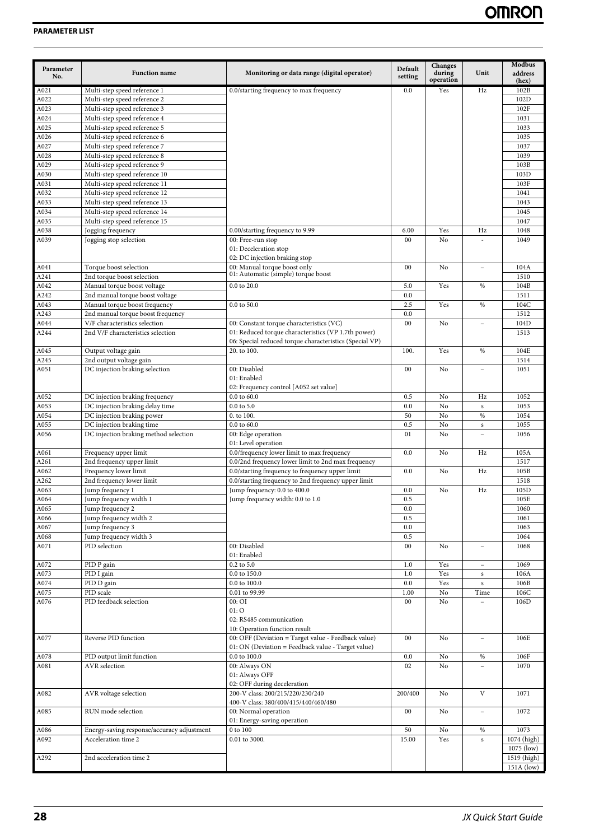| Parameter<br>No. | <b>Function name</b>                                         | Monitoring or data range (digital operator)                                                                    | Default<br>setting | Changes<br>during<br>operation | Unit                     | Modbus<br>address<br>(hex) |
|------------------|--------------------------------------------------------------|----------------------------------------------------------------------------------------------------------------|--------------------|--------------------------------|--------------------------|----------------------------|
| A021             | Multi-step speed reference 1                                 | 0.0/starting frequency to max frequency                                                                        | 0.0                | Yes                            | Hz                       | 102B                       |
| A022             | Multi-step speed reference 2                                 |                                                                                                                |                    |                                |                          | 102D                       |
| A023             | Multi-step speed reference 3                                 |                                                                                                                |                    |                                |                          | 102F                       |
| A024             | Multi-step speed reference 4                                 |                                                                                                                |                    |                                |                          | 1031                       |
| A025<br>A026     | Multi-step speed reference 5<br>Multi-step speed reference 6 |                                                                                                                |                    |                                |                          | 1033<br>1035               |
| A027             | Multi-step speed reference 7                                 |                                                                                                                |                    |                                |                          | 1037                       |
| A028             | Multi-step speed reference 8                                 |                                                                                                                |                    |                                |                          | 1039                       |
| A029             | Multi-step speed reference 9                                 |                                                                                                                |                    |                                |                          | 103B                       |
| A030             | Multi-step speed reference 10                                |                                                                                                                |                    |                                |                          | 103D                       |
| A031             | Multi-step speed reference 11                                |                                                                                                                |                    |                                |                          | 103F                       |
| A032             | Multi-step speed reference 12                                |                                                                                                                |                    |                                |                          | 1041                       |
| A033             | Multi-step speed reference 13                                |                                                                                                                |                    |                                |                          | 1043                       |
| A034             | Multi-step speed reference 14                                |                                                                                                                |                    |                                |                          | 1045                       |
| A035<br>A038     | Multi-step speed reference 15<br>Jogging frequency           | 0.00/starting frequency to 9.99                                                                                | 6.00               | Yes                            | Hz                       | 1047<br>1048               |
| A039             | Jogging stop selection                                       | 00: Free-run stop                                                                                              | 00                 | No                             |                          | 1049                       |
|                  |                                                              | 01: Deceleration stop                                                                                          |                    |                                |                          |                            |
|                  |                                                              | 02: DC injection braking stop                                                                                  |                    |                                |                          |                            |
| A041             | Torque boost selection                                       | 00: Manual torque boost only                                                                                   | 00                 | No                             | $\overline{a}$           | 104A                       |
| A241             | 2nd torque boost selection                                   | 01: Automatic (simple) torque boost                                                                            |                    |                                |                          | 1510                       |
| A042             | Manual torque boost voltage                                  | 0.0 to 20.0                                                                                                    | 5.0                | Yes                            | %                        | 104B                       |
| A242             | 2nd manual torque boost voltage                              |                                                                                                                | 0.0                |                                |                          | 1511                       |
| A043             | Manual torque boost frequency                                | 0.0 to 50.0                                                                                                    | 2.5                | Yes                            | $\%$                     | 104C                       |
| A243             | 2nd manual torque boost frequency                            |                                                                                                                | 0.0                |                                |                          | 1512                       |
| A044             | V/F characteristics selection                                | 00: Constant torque characteristics (VC)                                                                       | 00                 | No                             |                          | 104D                       |
| A244             | 2nd V/F characteristics selection                            | 01: Reduced torque characteristics (VP 1.7th power)<br>06: Special reduced torque characteristics (Special VP) |                    |                                |                          | 1513                       |
| A045             | Output voltage gain                                          | 20. to 100.                                                                                                    | 100.               | Yes                            | %                        | 104E                       |
| A245             | 2nd output voltage gain                                      |                                                                                                                |                    |                                |                          | 1514                       |
| A051             | DC injection braking selection                               | 00: Disabled                                                                                                   | $00\,$             | No                             | $\overline{\phantom{0}}$ | 1051                       |
|                  |                                                              | 01: Enabled<br>02: Frequency control [A052 set value]                                                          |                    |                                |                          |                            |
| A052             | DC injection braking frequency                               | $0.0$ to $60.0$                                                                                                | 0.5                | No                             | Hz                       | 1052                       |
| A053             | DC injection braking delay time                              | $0.0$ to $5.0$                                                                                                 | 0.0                | No                             | $\mathbf s$              | 1053                       |
| A054             | DC injection braking power                                   | 0. to 100.                                                                                                     | 50                 | No                             | %                        | 1054                       |
| A055             | DC injection braking time                                    | $0.0$ to $60.0$                                                                                                | 0.5                | No                             | $\mathbf S$              | 1055                       |
| A056             | DC injection braking method selection                        | 00: Edge operation<br>01: Level operation                                                                      | 01                 | No                             |                          | 1056                       |
| A061             | Frequency upper limit                                        | 0.0/frequency lower limit to max frequency                                                                     | 0.0                | No                             | Hz                       | 105A                       |
| A261             | 2nd frequency upper limit                                    | 0.0/2nd frequency lower limit to 2nd max frequency                                                             |                    |                                |                          | 1517                       |
| A062             | Frequency lower limit                                        | 0.0/starting frequency to frequency upper limit                                                                | 0.0                | No                             | Hz                       | 105B                       |
| A262<br>A063     | 2nd frequency lower limit<br>Jump frequency 1                | 0.0/starting frequency to 2nd frequency upper limit<br>Jump frequency: 0.0 to 400.0                            | 0.0                | No                             | Hz                       | 1518<br>105D               |
| A064             | Jump frequency width 1                                       | Jump frequency width: 0.0 to 1.0                                                                               | 0.5                |                                |                          | 105E                       |
| A065             | Jump frequency 2                                             |                                                                                                                | 0.0                |                                |                          | 1060                       |
| A066             | Jump frequency width 2                                       |                                                                                                                | 0.5                |                                |                          | 1061                       |
| A067             | Jump frequency 3                                             |                                                                                                                | 0.0                |                                |                          | 1063                       |
| A068             | Jump frequency width 3                                       |                                                                                                                | 0.5                |                                |                          | 1064                       |
| A071             | PID selection                                                | 00: Disabled<br>01: Enabled                                                                                    | $00\,$             | No                             |                          | 1068                       |
| A072             | PID P gain                                                   | 0.2 to 5.0                                                                                                     | 1.0                | Yes                            |                          | 1069                       |
| A073             | PID I gain                                                   | $0.0$ to $150.0$                                                                                               | 1.0                | Yes                            | ${\bf S}$                | 106A                       |
| A074             | PID D gain                                                   | $0.0$ to $100.0\,$                                                                                             | 0.0                | Yes                            | ${\bf S}$                | 106B                       |
| A075             | PID scale                                                    | 0.01 to 99.99                                                                                                  | 1.00               | No                             | Time                     | 106C                       |
| A076             | PID feedback selection                                       | $00:$ OI<br>01:O<br>02: RS485 communication                                                                    | 00                 | No                             |                          | 106D                       |
|                  |                                                              | 10: Operation function result                                                                                  |                    |                                |                          |                            |
| A077             | Reverse PID function                                         | 00: OFF (Deviation = Target value - Feedback value)                                                            | 00                 | No                             | $\equiv$                 | 106E                       |
|                  |                                                              | 01: ON (Deviation = Feedback value - Target value)                                                             |                    |                                |                          |                            |
| A078             | PID output limit function                                    | 0.0 to 100.0                                                                                                   | 0.0                | No                             | $\%$                     | 106F                       |
| A081             | <b>AVR</b> selection                                         | 00: Always ON                                                                                                  | 02                 | No                             |                          | 1070                       |
|                  |                                                              | 01: Always OFF                                                                                                 |                    |                                |                          |                            |
|                  |                                                              | 02: OFF during deceleration                                                                                    |                    |                                |                          |                            |
| A082             | AVR voltage selection                                        | 200-V class: 200/215/220/230/240                                                                               | 200/400            | No                             | $\mathbf{V}$             | 1071                       |
|                  |                                                              | 400-V class: 380/400/415/440/460/480                                                                           |                    |                                |                          |                            |
| A085             | RUN mode selection                                           | 00: Normal operation<br>01: Energy-saving operation                                                            | 00                 | No                             | $\equiv$                 | 1072                       |
| A086             | Energy-saving response/accuracy adjustment                   | 0 to 100                                                                                                       | 50                 | No                             | $\%$                     | 1073                       |
| A092             | Acceleration time 2                                          | 0.01 to 3000.                                                                                                  | 15.00              | Yes                            | $\mathbf S$              | 1074 (high)                |
|                  |                                                              |                                                                                                                |                    |                                |                          | 1075 (low)                 |
| A292             | 2nd acceleration time 2                                      |                                                                                                                |                    |                                |                          | 1519 (high)                |
|                  |                                                              |                                                                                                                |                    |                                |                          | 151A (low)                 |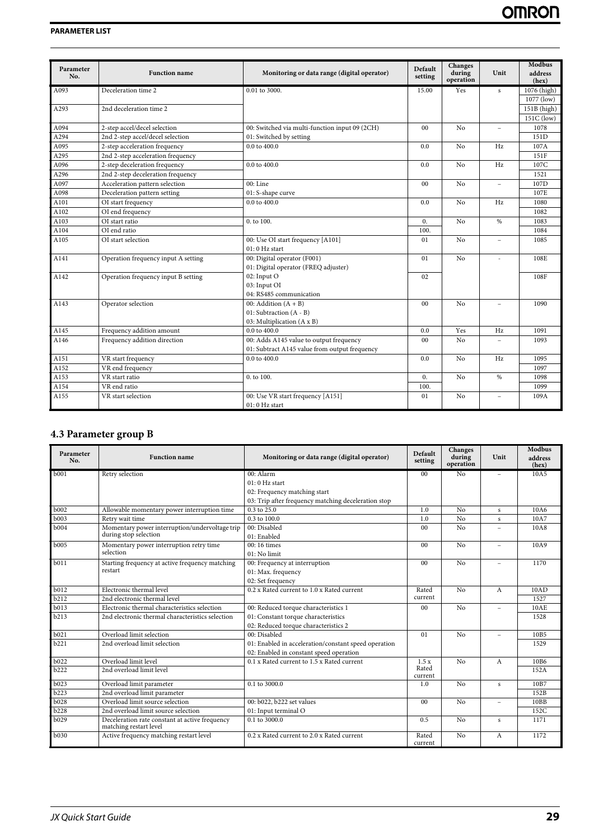| Parameter<br>No. | <b>Function name</b>                | Monitoring or data range (digital operator)    | Default<br>setting | Changes<br>during<br>operation | Unit                     | <b>Modbus</b><br>address<br>(hex) |
|------------------|-------------------------------------|------------------------------------------------|--------------------|--------------------------------|--------------------------|-----------------------------------|
| A093             | Deceleration time 2                 | 0.01 to 3000.                                  | 15.00              | Yes                            | s                        | 1076 (high)                       |
|                  |                                     |                                                |                    |                                |                          | 1077 (low)                        |
| A293             | 2nd deceleration time 2             |                                                |                    |                                |                          | $151B$ (high)                     |
|                  |                                     |                                                |                    |                                |                          | 151C (low)                        |
| A094             | 2-step accel/decel selection        | 00: Switched via multi-function input 09 (2CH) | 0 <sub>0</sub>     | No                             |                          | 1078                              |
| A294             | 2nd 2-step accel/decel selection    | 01: Switched by setting                        |                    |                                |                          | 151D                              |
| A095             | 2-step acceleration frequency       | 0.0 to 400.0                                   | 0.0                | No                             | Hz                       | 107A                              |
| A295             | 2nd 2-step acceleration frequency   |                                                |                    |                                |                          | 151F                              |
| A096             | 2-step deceleration frequency       | 0.0 to 400.0                                   | 0.0                | No                             | Hz                       | 107C                              |
| A296             | 2nd 2-step deceleration frequency   |                                                |                    |                                |                          | 1521                              |
| A097             | Acceleration pattern selection      | 00: Line                                       | 00                 | No                             |                          | 107D                              |
| A098             | Deceleration pattern setting        | 01: S-shape curve                              |                    |                                |                          | 107E                              |
| A101             | OI start frequency                  | 0.0 to 400.0                                   | 0.0                | No                             | Hz                       | 1080                              |
| A102             | OI end frequency                    |                                                |                    |                                |                          | 1082                              |
| A103             | OI start ratio                      | 0. to 100.                                     | $\mathbf{0}$ .     | N <sub>o</sub>                 | $\frac{0}{6}$            | 1083                              |
| A104             | OI end ratio                        |                                                | 100.               |                                |                          | 1084                              |
| A105             | OI start selection                  | 00: Use OI start frequency [A101]              | 01                 | No                             | $\sim$                   | 1085                              |
|                  |                                     | $01:0$ Hz start                                |                    |                                |                          |                                   |
| A141             | Operation frequency input A setting | 00: Digital operator (F001)                    | 01                 | No                             | ÷.                       | 108E                              |
|                  |                                     | 01: Digital operator (FREQ adjuster)           |                    |                                |                          |                                   |
| A142             | Operation frequency input B setting | 02: Input O                                    | 02                 |                                |                          | 108F                              |
|                  |                                     | 03: Input OI                                   |                    |                                |                          |                                   |
|                  |                                     | 04: RS485 communication                        |                    |                                |                          |                                   |
| A143             | Operator selection                  | 00: Addition $(A + B)$                         | 0 <sup>0</sup>     | No                             |                          | 1090                              |
|                  |                                     | 01: Subtraction (A - B)                        |                    |                                |                          |                                   |
|                  |                                     | 03: Multiplication (A x B)                     |                    |                                |                          |                                   |
| A145             | Frequency addition amount           | $0.0$ to $400.0$                               | 0.0                | Yes                            | Hz                       | 1091                              |
| A146             | Frequency addition direction        | 00: Adds A145 value to output frequency        | 00                 | No                             |                          | 1093                              |
|                  |                                     | 01: Subtract A145 value from output frequency  |                    |                                |                          |                                   |
| A151             | VR start frequency                  | 0.0 to 400.0                                   | 0.0                | No                             | Hz                       | 1095                              |
| A152             | VR end frequency                    |                                                |                    |                                |                          | 1097                              |
| A153             | VR start ratio                      | 0. to 100.                                     | $\mathbf{0}$ .     | No                             | $\frac{0}{0}$            | 1098                              |
| A154             | VR end ratio                        |                                                | 100.               |                                |                          | 1099                              |
| A155             | VR start selection                  | 00: Use VR start frequency [A151]              | 01                 | N <sub>o</sub>                 | $\overline{\phantom{a}}$ | 109A                              |
|                  |                                     | $01:0$ Hz start                                |                    |                                |                          |                                   |

# <span id="page-30-0"></span>**4.3 Parameter group B**

| Parameter<br>No.  | <b>Function name</b>                                                     | Monitoring or data range (digital operator)          | Default<br>setting | Changes<br>during<br>operation | Unit                     | Modbus<br>address<br>(hex) |
|-------------------|--------------------------------------------------------------------------|------------------------------------------------------|--------------------|--------------------------------|--------------------------|----------------------------|
| b001              | Retry selection                                                          | 00: Alarm                                            | 00                 | N <sub>0</sub>                 | $\sim$                   | 10A5                       |
|                   |                                                                          | 01: 0 Hz start                                       |                    |                                |                          |                            |
|                   |                                                                          | 02: Frequency matching start                         |                    |                                |                          |                            |
|                   |                                                                          | 03: Trip after frequency matching deceleration stop  |                    |                                |                          |                            |
| <b>b</b> 002      | Allowable momentary power interruption time                              | $0.3$ to $25.0$                                      | 1.0                | No                             | $\mathbf{s}$             | 10A6                       |
| <b>b003</b>       | Retry wait time                                                          | 0.3 to 100.0                                         | 1.0                | N <sub>0</sub>                 | s                        | 10A7                       |
| b004              | Momentary power interruption/undervoltage trip                           | 00: Disabled                                         | 0 <sub>0</sub>     | N <sub>0</sub>                 |                          | 10A8                       |
|                   | during stop selection                                                    | 01: Enabled                                          |                    |                                |                          |                            |
| b005              | Momentary power interruption retry time                                  | 00:16 times                                          | 00                 | No                             | $\overline{\phantom{a}}$ | 10A9                       |
|                   | selection                                                                | 01: No limit                                         |                    |                                |                          |                            |
| <b>b</b> 011      | Starting frequency at active frequency matching                          | 00: Frequency at interruption                        | 0 <sub>0</sub>     | No                             |                          | 1170                       |
|                   | restart                                                                  | 01: Max. frequency                                   |                    |                                |                          |                            |
|                   |                                                                          | 02: Set frequency                                    |                    |                                |                          |                            |
| b012              | Electronic thermal level                                                 | 0.2 x Rated current to 1.0 x Rated current           | Rated              | No                             | A                        | 10AD                       |
| b212              | 2nd electronic thermal level                                             |                                                      | current            |                                |                          | 1527                       |
| b013              | Electronic thermal characteristics selection                             | 00: Reduced torque characteristics 1                 | 00                 | N <sub>0</sub>                 |                          | 10AE                       |
| b213              | 2nd electronic thermal characteristics selection                         | 01: Constant torque characteristics                  |                    |                                |                          | 1528                       |
|                   |                                                                          | 02: Reduced torque characteristics 2                 |                    |                                |                          |                            |
| b021              | Overload limit selection                                                 | 00: Disabled                                         | 01                 | No                             |                          | 10B5                       |
| $\overline{b}221$ | 2nd overload limit selection                                             | 01: Enabled in acceleration/constant speed operation |                    |                                |                          | 1529                       |
|                   |                                                                          | 02: Enabled in constant speed operation              |                    |                                |                          |                            |
| b022              | Overload limit level                                                     | 0.1 x Rated current to 1.5 x Rated current           | 1.5 x              | No                             | А                        | 10B6                       |
| b222              | 2nd overload limit level                                                 |                                                      | Rated<br>current   |                                |                          | 152A                       |
| b023              | Overload limit parameter                                                 | 0.1 to 3000.0                                        | 1.0                | No                             | s                        | 10B7                       |
| b223              | 2nd overload limit parameter                                             |                                                      |                    |                                |                          | 152B                       |
| b028              | Overload limit source selection                                          | 00: b022, b222 set values                            | 0 <sub>0</sub>     | No                             | $\overline{\phantom{a}}$ | 10BB                       |
| b228              | 2nd overload limit source selection                                      | 01: Input terminal O                                 |                    |                                |                          | 152C                       |
| b <sub>029</sub>  | Deceleration rate constant at active frequency<br>matching restart level | 0.1 to 3000.0                                        | 0.5                | N <sub>o</sub>                 | s                        | 1171                       |
| b030              | Active frequency matching restart level                                  | 0.2 x Rated current to 2.0 x Rated current           | Rated<br>current   | No                             | A                        | 1172                       |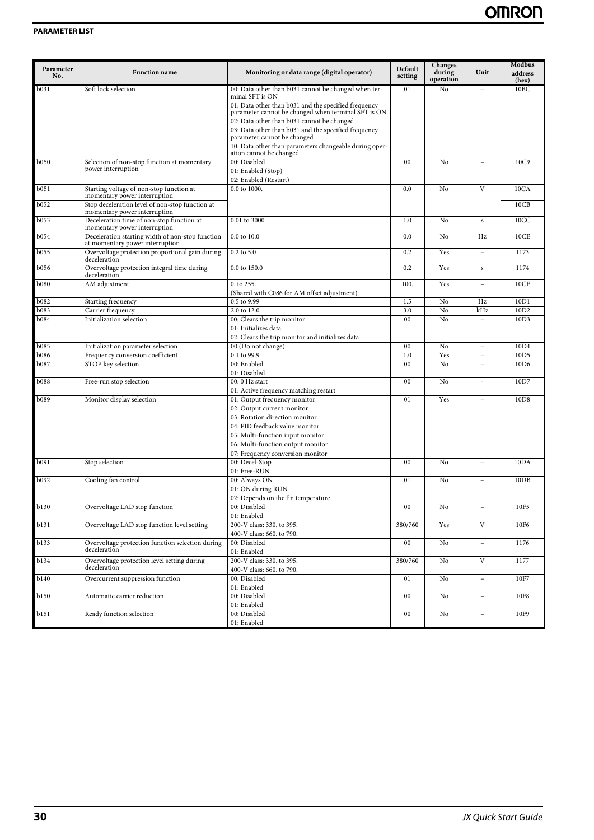| Parameter<br>No. | <b>Function name</b>                                                                | Monitoring or data range (digital operator)                                                                      | Default<br>setting | Changes<br>during<br>operation | Unit                     | <b>Modbus</b><br>address<br>(hex) |
|------------------|-------------------------------------------------------------------------------------|------------------------------------------------------------------------------------------------------------------|--------------------|--------------------------------|--------------------------|-----------------------------------|
| b031             | Soft lock selection                                                                 | 00: Data other than b031 cannot be changed when ter-<br>minal SFT is ON                                          | 01                 | No                             |                          | 10BC                              |
|                  |                                                                                     | 01: Data other than b031 and the specified frequency<br>parameter cannot be changed when terminal SFT is ON      |                    |                                |                          |                                   |
|                  |                                                                                     | 02: Data other than b031 cannot be changed<br>03: Data other than b031 and the specified frequency               |                    |                                |                          |                                   |
|                  |                                                                                     | parameter cannot be changed<br>10: Data other than parameters changeable during oper-<br>ation cannot be changed |                    |                                |                          |                                   |
| <b>b</b> 050     | Selection of non-stop function at momentary                                         | 00: Disabled                                                                                                     | 00                 | No                             |                          | 10C9                              |
|                  | power interruption                                                                  | 01: Enabled (Stop)<br>02: Enabled (Restart)                                                                      |                    |                                |                          |                                   |
| b051             | Starting voltage of non-stop function at<br>momentary power interruption            | 0.0 to 1000.                                                                                                     | 0.0                | No                             | V                        | 10CA                              |
| b052             | Stop deceleration level of non-stop function at<br>momentary power interruption     |                                                                                                                  |                    |                                |                          | 10CB                              |
| b053             | Deceleration time of non-stop function at<br>momentary power interruption           | 0.01 to 3000                                                                                                     | 1.0                | No                             | s                        | 10CC                              |
| b054             | Deceleration starting width of non-stop function<br>at momentary power interruption | 0.0 to 10.0                                                                                                      | 0.0                | No                             | Hz                       | 10CE                              |
| b055             | Overvoltage protection proportional gain during<br>deceleration                     | 0.2 to 5.0                                                                                                       | 0.2                | Yes                            | $\overline{a}$           | 1173                              |
| b056             | Overvoltage protection integral time during<br>deceleration                         | 0.0 to 150.0                                                                                                     | 0.2                | Yes                            | s                        | 1174                              |
| <b>b080</b>      | AM adjustment                                                                       | 0. to 255.<br>(Shared with C086 for AM offset adjustment)                                                        | 100.               | Yes                            | $\overline{\phantom{a}}$ | 10CF                              |
| <b>b</b> 082     | Starting frequency                                                                  | $\overline{0.5}$ to 9.99                                                                                         | 1.5                | No                             | Hz                       | 10D1                              |
| b083             | Carrier frequency                                                                   | 2.0 to 12.0                                                                                                      | 3.0                | No                             | kHz                      | 10D <sub>2</sub>                  |
| <b>b084</b>      | Initialization selection                                                            | 00: Clears the trip monitor<br>01: Initializes data                                                              | 00                 | N <sub>o</sub>                 |                          | 10D3                              |
|                  |                                                                                     | 02: Clears the trip monitor and initializes data                                                                 |                    |                                |                          |                                   |
| <b>b</b> 085     | Initialization parameter selection                                                  | 00 (Do not change)                                                                                               | $00\,$             | No                             | $\overline{\phantom{a}}$ | 10 <sub>D</sub> 4                 |
| <b>b086</b>      | Frequency conversion coefficient                                                    | 0.1 to 99.9                                                                                                      | 1.0                | Yes                            | $\overline{\phantom{a}}$ | 10D <sub>5</sub>                  |
| b087             | STOP key selection                                                                  | 00: Enabled<br>01: Disabled                                                                                      | $00\,$             | No                             | $\overline{\phantom{a}}$ | 10D <sub>6</sub>                  |
| <b>b088</b>      | Free-run stop selection                                                             | 00: 0 Hz start<br>01: Active frequency matching restart                                                          | $00\,$             | No                             | ä,                       | 10D7                              |
| b089             | Monitor display selection                                                           | 01: Output frequency monitor<br>02: Output current monitor                                                       | 01                 | Yes                            | L,                       | 10D8                              |
|                  |                                                                                     | 03: Rotation direction monitor                                                                                   |                    |                                |                          |                                   |
|                  |                                                                                     | 04: PID feedback value monitor                                                                                   |                    |                                |                          |                                   |
|                  |                                                                                     | 05: Multi-function input monitor                                                                                 |                    |                                |                          |                                   |
|                  |                                                                                     | 06: Multi-function output monitor                                                                                |                    |                                |                          |                                   |
|                  |                                                                                     | 07: Frequency conversion monitor                                                                                 |                    |                                |                          |                                   |
| b091             | Stop selection                                                                      | 00: Decel-Stop<br>01: Free-RUN                                                                                   | $00\,$             | No                             | ÷,                       | 10DA                              |
| b092             | Cooling fan control                                                                 | 00: Always ON                                                                                                    | 01                 | No                             | $\sim$                   | 10DB                              |
|                  |                                                                                     | 01: ON during RUN                                                                                                |                    |                                |                          |                                   |
|                  |                                                                                     | 02: Depends on the fin temperature                                                                               |                    |                                |                          |                                   |
| <b>b</b> 130     | Overvoltage LAD stop function                                                       | 00: Disabled<br>01: Enabled                                                                                      | $00\,$             | No                             | $\overline{\phantom{a}}$ | 10F5                              |
| b131             | Overvoltage LAD stop function level setting                                         | 200-V class: 330. to 395.                                                                                        | 380/760            | Yes                            | $\overline{V}$           | 10F6                              |
| b133             | Overvoltage protection function selection during                                    | 400-V class: 660. to 790.<br>00: Disabled                                                                        | $00\,$             | $\rm No$                       | $\overline{\phantom{a}}$ | 1176                              |
|                  | deceleration                                                                        | 01: Enabled                                                                                                      |                    |                                | $\overline{V}$           |                                   |
| b134             | Overvoltage protection level setting during<br>deceleration                         | 200-V class: 330. to 395.<br>400-V class: 660. to 790.                                                           | 380/760            | $\rm No$                       |                          | 1177                              |
| <b>b140</b>      | Overcurrent suppression function                                                    | 00: Disabled<br>01: Enabled                                                                                      | 01                 | $\rm No$                       | $\overline{\phantom{a}}$ | 10F7                              |
| b150             | Automatic carrier reduction                                                         | 00: Disabled                                                                                                     | $00\,$             | No                             | $\overline{\phantom{a}}$ | 10F8                              |
| b151             | Ready function selection                                                            | 01: Enabled<br>00: Disabled                                                                                      | $00\,$             | No                             | $\overline{\phantom{a}}$ | 10F9                              |
|                  |                                                                                     | 01: Enabled                                                                                                      |                    |                                |                          |                                   |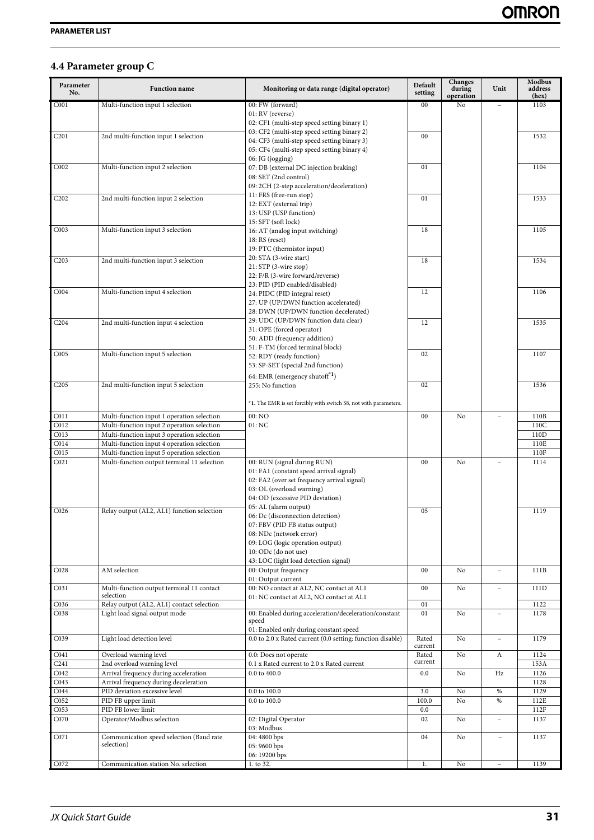# <span id="page-32-0"></span>**4.4 Parameter group C**

| Parameter<br>No.              | <b>Function name</b>                                   | Monitoring or data range (digital operator)                                                | Default<br>setting | Changes<br>during<br>operation | Unit                     | Modbus<br>address<br>(hex) |
|-------------------------------|--------------------------------------------------------|--------------------------------------------------------------------------------------------|--------------------|--------------------------------|--------------------------|----------------------------|
| C <sub>001</sub>              | Multi-function input 1 selection                       | 00: FW (forward)                                                                           | 00                 | No                             |                          | 1103                       |
|                               |                                                        | 01: RV (reverse)                                                                           |                    |                                |                          |                            |
|                               |                                                        | 02: CF1 (multi-step speed setting binary 1)                                                |                    |                                |                          |                            |
| C <sub>201</sub>              | 2nd multi-function input 1 selection                   | 03: CF2 (multi-step speed setting binary 2)<br>04: CF3 (multi-step speed setting binary 3) | 00                 |                                |                          | 1532                       |
|                               |                                                        | 05: CF4 (multi-step speed setting binary 4)                                                |                    |                                |                          |                            |
|                               |                                                        | 06: JG (jogging)                                                                           |                    |                                |                          |                            |
| C002                          | Multi-function input 2 selection                       | 07: DB (external DC injection braking)                                                     | 01                 |                                |                          | 1104                       |
|                               |                                                        | 08: SET (2nd control)                                                                      |                    |                                |                          |                            |
|                               |                                                        | 09: 2CH (2-step acceleration/deceleration)                                                 |                    |                                |                          |                            |
| C <sub>2</sub> 0 <sub>2</sub> | 2nd multi-function input 2 selection                   | 11: FRS (free-run stop)                                                                    | 01                 |                                |                          | 1533                       |
|                               |                                                        | 12: EXT (external trip)                                                                    |                    |                                |                          |                            |
|                               |                                                        | 13: USP (USP function)<br>15: SFT (soft lock)                                              |                    |                                |                          |                            |
| CO <sub>03</sub>              | Multi-function input 3 selection                       | 16: AT (analog input switching)                                                            | 18                 |                                |                          | 1105                       |
|                               |                                                        | 18: RS (reset)                                                                             |                    |                                |                          |                            |
|                               |                                                        | 19: PTC (thermistor input)                                                                 |                    |                                |                          |                            |
| C203                          | 2nd multi-function input 3 selection                   | 20: STA (3-wire start)                                                                     | 18                 |                                |                          | 1534                       |
|                               |                                                        | 21: STP (3-wire stop)                                                                      |                    |                                |                          |                            |
|                               |                                                        | 22: F/R (3-wire forward/reverse)                                                           |                    |                                |                          |                            |
| C <sub>004</sub>              | Multi-function input 4 selection                       | 23: PID (PID enabled/disabled)                                                             | 12                 |                                |                          | 1106                       |
|                               |                                                        | 24: PIDC (PID integral reset)<br>27: UP (UP/DWN function accelerated)                      |                    |                                |                          |                            |
|                               |                                                        | 28: DWN (UP/DWN function decelerated)                                                      |                    |                                |                          |                            |
|                               |                                                        | 29: UDC (UP/DWN function data clear)                                                       |                    |                                |                          |                            |
| C <sub>204</sub>              | 2nd multi-function input 4 selection                   | 31: OPE (forced operator)                                                                  | 12                 |                                |                          | 1535                       |
|                               |                                                        | 50: ADD (frequency addition)                                                               |                    |                                |                          |                            |
|                               |                                                        | 51: F-TM (forced terminal block)                                                           |                    |                                |                          |                            |
| COO5                          | Multi-function input 5 selection                       | 52: RDY (ready function)                                                                   | 02                 |                                |                          | 1107                       |
|                               |                                                        | 53: SP-SET (special 2nd function)                                                          |                    |                                |                          |                            |
|                               |                                                        | 64: EMR (emergency shutoff <sup>*1</sup> )                                                 |                    |                                |                          |                            |
| C <sub>205</sub>              | 2nd multi-function input 5 selection                   | 255: No function                                                                           | 02                 |                                |                          | 1536                       |
|                               |                                                        |                                                                                            |                    |                                |                          |                            |
|                               |                                                        | *1. The EMR is set forcibly with switch S8, not with parameters.                           |                    |                                |                          |                            |
| C <sub>011</sub>              | Multi-function input 1 operation selection             | 00: NO                                                                                     | 00                 | No                             |                          | 110B                       |
| C012                          | Multi-function input 2 operation selection             | 01:NC                                                                                      |                    |                                |                          | 110C                       |
| C013                          | Multi-function input 3 operation selection             |                                                                                            |                    |                                |                          | 110D                       |
| CO14                          | Multi-function input 4 operation selection             |                                                                                            |                    |                                |                          | 110E                       |
| CO15                          | Multi-function input 5 operation selection             |                                                                                            |                    |                                |                          | 110F                       |
| C <sub>021</sub>              | Multi-function output terminal 11 selection            | 00: RUN (signal during RUN)                                                                | 00                 | No                             | $\overline{\phantom{a}}$ | 1114                       |
|                               |                                                        | 01: FA1 (constant speed arrival signal)<br>02: FA2 (over set frequency arrival signal)     |                    |                                |                          |                            |
|                               |                                                        | 03: OL (overload warning)                                                                  |                    |                                |                          |                            |
|                               |                                                        | 04: OD (excessive PID deviation)                                                           |                    |                                |                          |                            |
|                               |                                                        | 05: AL (alarm output)                                                                      |                    |                                |                          |                            |
| C <sub>026</sub>              | Relay output (AL2, AL1) function selection             | 06: Dc (disconnection detection)                                                           | 05                 |                                |                          | 1119                       |
|                               |                                                        | 07: FBV (PID FB status output)                                                             |                    |                                |                          |                            |
|                               |                                                        | 08: NDc (network error)                                                                    |                    |                                |                          |                            |
|                               |                                                        | 09: LOG (logic operation output)                                                           |                    |                                |                          |                            |
|                               |                                                        | 10: ODc (do not use)                                                                       |                    |                                |                          |                            |
|                               |                                                        | 43: LOC (light load detection signal)                                                      |                    |                                |                          |                            |
| CO <sub>28</sub>              | AM selection                                           | 00: Output frequency<br>01: Output current                                                 | $00\,$             | No                             | $\overline{\phantom{a}}$ | 111B                       |
| C031                          | Multi-function output terminal 11 contact              | 00: NO contact at AL2, NC contact at AL1                                                   | $00\,$             | No                             |                          | 111D                       |
|                               | selection                                              | 01: NC contact at AL2, NO contact at AL1                                                   |                    |                                |                          |                            |
| C036                          | Relay output (AL2, AL1) contact selection              |                                                                                            | 01                 |                                |                          | 1122                       |
| C038                          | Light load signal output mode                          | 00: Enabled during acceleration/deceleration/constant                                      | 01                 | No                             | L.                       | 1178                       |
|                               |                                                        | speed                                                                                      |                    |                                |                          |                            |
|                               |                                                        | 01: Enabled only during constant speed                                                     |                    |                                |                          |                            |
| C039                          | Light load detection level                             | 0.0 to 2.0 x Rated current (0.0 setting: function disable)                                 | Rated<br>current   | No                             | $\overline{\phantom{a}}$ | 1179                       |
| C <sub>041</sub>              | Overload warning level                                 | 0.0: Does not operate                                                                      | Rated              | No                             | A                        | 1124                       |
| C <sub>241</sub>              | 2nd overload warning level                             | 0.1 x Rated current to 2.0 x Rated current                                                 | current            |                                |                          | 153A                       |
| C <sub>042</sub>              | Arrival frequency during acceleration                  | $0.0$ to $400.0$                                                                           | 0.0                | No                             | Hz                       | 1126                       |
| C043                          | Arrival frequency during deceleration                  |                                                                                            |                    |                                |                          | 1128                       |
| C <sub>044</sub>              | PID deviation excessive level                          | $0.0$ to $100.0$                                                                           | 3.0                | No                             | $\%$                     | 1129                       |
| CO <sub>52</sub>              | PID FB upper limit                                     | 0.0 to 100.0                                                                               | 100.0              | N <sub>0</sub>                 | %                        | 112E                       |
| C053                          | PID FB lower limit                                     |                                                                                            | 0.0                |                                |                          | 112F                       |
| C070                          | Operator/Modbus selection                              | 02: Digital Operator                                                                       | 02                 | No                             |                          | 1137                       |
|                               |                                                        | 03: Modbus                                                                                 |                    |                                |                          |                            |
| C071                          | Communication speed selection (Baud rate<br>selection) | 04: 4800 bps                                                                               | 04                 | No                             |                          | 1137                       |
|                               |                                                        | 05:9600 bps<br>06: 19200 bps                                                               |                    |                                |                          |                            |
| C072                          | Communication station No. selection                    | 1. to 32.                                                                                  | 1.                 | No                             | $\overline{\phantom{a}}$ | 1139                       |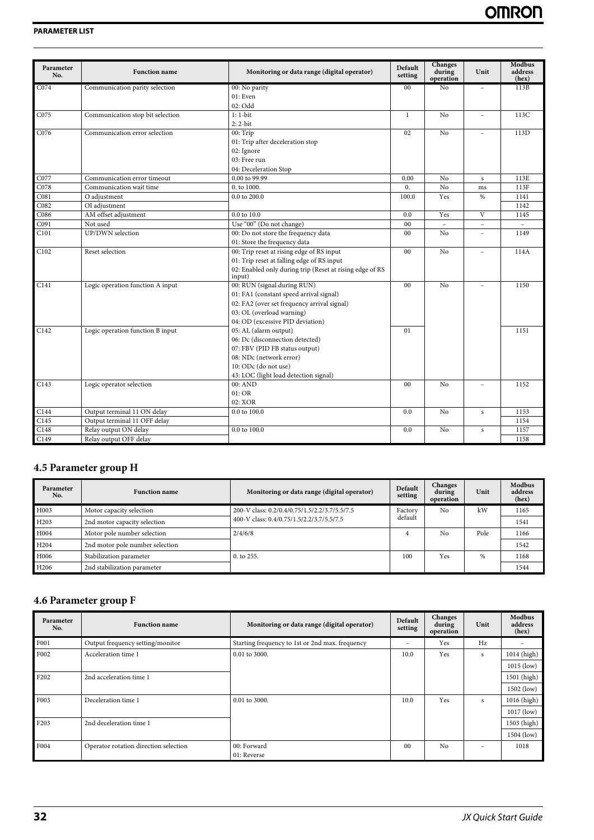| Parameter<br>No. | <b>Function</b> name             | Monitoring or data range (digital operator)                        | Default<br>setting | <b>Changes</b><br>during<br>operation | Unit         | <b>Modbus</b><br>address<br>(hex) |
|------------------|----------------------------------|--------------------------------------------------------------------|--------------------|---------------------------------------|--------------|-----------------------------------|
| C <sub>074</sub> | Communication parity selection   | 00: No parity                                                      | 00                 | N <sub>o</sub>                        |              | 113B                              |
|                  |                                  | 01: Even                                                           |                    |                                       |              |                                   |
|                  |                                  | 02: Odd                                                            |                    |                                       |              |                                   |
| C075             | Communication stop bit selection | $1:1-bit$                                                          | $\mathbf{1}$       | No                                    | $\equiv$     | 113C                              |
|                  |                                  | $2:2-bit$                                                          |                    |                                       |              |                                   |
| C076             | Communication error selection    | 00: Trip                                                           | 02                 | No                                    | $\equiv$     | 113D                              |
|                  |                                  | 01: Trip after deceleration stop                                   |                    |                                       |              |                                   |
|                  |                                  | 02: Ignore                                                         |                    |                                       |              |                                   |
|                  |                                  | 03: Free run                                                       |                    |                                       |              |                                   |
|                  |                                  | 04: Deceleration Stop                                              |                    |                                       |              |                                   |
| C077             | Communication error timeout      | 0.00 to 99.99                                                      | 0.00               | No                                    | $\mathbf{s}$ | 113E                              |
| C078             | Communication wait time          | 0. to 1000.                                                        | 0.                 | No                                    | ms           | 113F                              |
| C <sub>081</sub> | O adjustment                     | 0.0 to 200.0                                                       | 100.0              | Yes                                   | $\%$         | 1141                              |
| C082             | OI adjustment                    |                                                                    |                    |                                       |              | 1142                              |
| C086             | AM offset adjustment             | 0.0 to 10.0                                                        | 0.0                | Yes                                   | V            | 1145                              |
| C091             | Not used                         | Use "00" (Do not change)                                           | 00                 | $\equiv$                              | $\equiv$     | $\equiv$                          |
| C101             | UP/DWN selection                 | 00: Do not store the frequency data                                | 0 <sub>0</sub>     | No                                    |              | 1149                              |
|                  |                                  | 01: Store the frequency data                                       |                    |                                       |              |                                   |
| C <sub>102</sub> | Reset selection                  | 00: Trip reset at rising edge of RS input                          | 0 <sub>0</sub>     | No                                    | $\equiv$     | 114A                              |
|                  |                                  | 01: Trip reset at falling edge of RS input                         |                    |                                       |              |                                   |
|                  |                                  | 02: Enabled only during trip (Reset at rising edge of RS<br>input) |                    |                                       |              |                                   |
| C141             | Logic operation function A input | 00: RUN (signal during RUN)                                        | 0 <sub>0</sub>     | No                                    | $\equiv$     | 1150                              |
|                  |                                  | 01: FA1 (constant speed arrival signal)                            |                    |                                       |              |                                   |
|                  |                                  | 02: FA2 (over set frequency arrival signal)                        |                    |                                       |              |                                   |
|                  |                                  | 03: OL (overload warning)                                          |                    |                                       |              |                                   |
|                  |                                  | 04: OD (excessive PID deviation)                                   |                    |                                       |              |                                   |
| C142             | Logic operation function B input | 05: AL (alarm output)                                              | 01                 |                                       |              | 1151                              |
|                  |                                  | 06: Dc (disconnection detected)                                    |                    |                                       |              |                                   |
|                  |                                  | 07: FBV (PID FB status output)                                     |                    |                                       |              |                                   |
|                  |                                  | 08: NDc (network error)                                            |                    |                                       |              |                                   |
|                  |                                  | 10: ODc (do not use)                                               |                    |                                       |              |                                   |
|                  |                                  | 43: LOC (light load detection signal)                              |                    |                                       |              |                                   |
| C143             | Logic operator selection         | 00:AND                                                             | 0 <sub>0</sub>     | No                                    | $\equiv$     | 1152                              |
|                  |                                  | 01:OR                                                              |                    |                                       |              |                                   |
|                  |                                  | 02: XOR                                                            |                    |                                       |              |                                   |
| C144             | Output terminal 11 ON delay      | $0.0$ to $100.0$                                                   | 0.0                | No                                    | $\mathbf s$  | 1153                              |
| C <sub>145</sub> | Output terminal 11 OFF delay     |                                                                    |                    |                                       |              | 1154                              |
| C148             | Relay output ON delay            | 0.0 to 100.0                                                       | 0.0                | No                                    | $\mathbf s$  | 1157                              |
| C149             | Relay output OFF delay           |                                                                    |                    |                                       |              | 1158                              |

# <span id="page-33-0"></span>**4.5 Parameter group H**

| Parameter<br>No. | <b>Function name</b>            | Monitoring or data range (digital operator)   | Default<br>setting | <b>Changes</b><br>during<br>operation | Unit | Modbus<br>address<br>(hex) |
|------------------|---------------------------------|-----------------------------------------------|--------------------|---------------------------------------|------|----------------------------|
| H003             | Motor capacity selection        | 200-V class: 0.2/0.4/0.75/1.5/2.2/3.7/5.5/7.5 | Factory            | No                                    | kW   | 1165                       |
| H <sub>203</sub> | 2nd motor capacity selection    | 400-V class: 0.4/0.75/1.5/2.2/3.7/5.5/7.5     | default            |                                       |      | 1541                       |
| H004             | Motor pole number selection     | 2/4/6/8                                       |                    | No                                    | Pole | 1166                       |
| H <sub>204</sub> | 2nd motor pole number selection |                                               |                    |                                       |      | 1542                       |
| H006             | Stabilization parameter         | $0.$ to 255.                                  | 100                | Yes                                   | %    | 1168                       |
| H <sub>206</sub> | 2nd stabilization parameter     |                                               |                    |                                       |      | 1544                       |

# <span id="page-33-1"></span>**4.6 Parameter group F**

| Parameter<br>No. | <b>Function name</b>                  | Monitoring or data range (digital operator)     | Default<br>setting | Changes<br>during<br>operation | Unit | Modbus<br>address<br>(hex) |
|------------------|---------------------------------------|-------------------------------------------------|--------------------|--------------------------------|------|----------------------------|
| F001             | Output frequency setting/monitor      | Starting frequency to 1st or 2nd max. frequency | -                  | <b>Yes</b>                     | Hz   |                            |
| F002             | Acceleration time 1                   | $0.01$ to 3000.                                 | 10.0               | Yes                            | s    | 1014 (high)                |
|                  |                                       |                                                 |                    |                                |      | $1015$ (low)               |
| F <sub>202</sub> | 2nd acceleration time 1               |                                                 |                    |                                |      | 1501 (high)                |
|                  |                                       |                                                 |                    |                                |      | 1502 (low)                 |
| F003             | Deceleration time 1                   | $0.01$ to 3000.                                 | 10.0               | Yes                            | s    | 1016 (high)                |
|                  |                                       |                                                 |                    |                                |      | $1017$ (low)               |
| F203             | 2nd deceleration time 1               |                                                 |                    |                                |      | 1503 (high)                |
|                  |                                       |                                                 |                    |                                |      | 1504 (low)                 |
| F004             | Operator rotation direction selection | 00: Forward                                     | 0 <sub>0</sub>     | No                             | -    | 1018                       |
|                  |                                       | 01: Reverse                                     |                    |                                |      |                            |